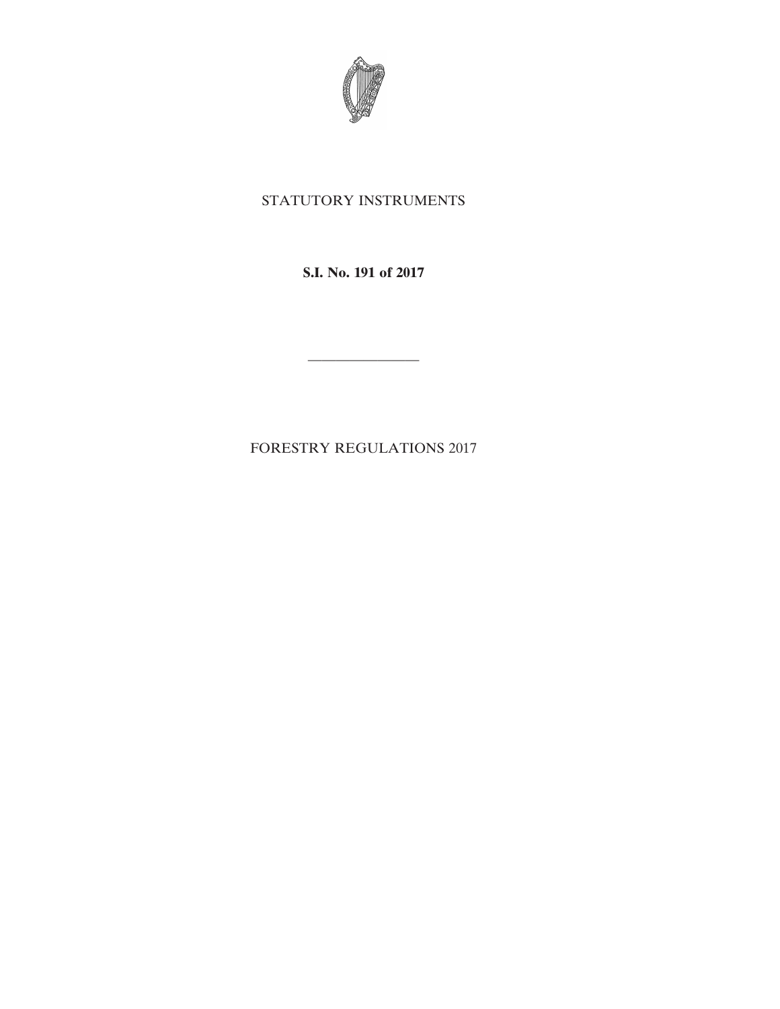

# STATUTORY INSTRUMENTS

**S.I. No. 191 of 2017**

————————

FORESTRY REGULATIONS 2017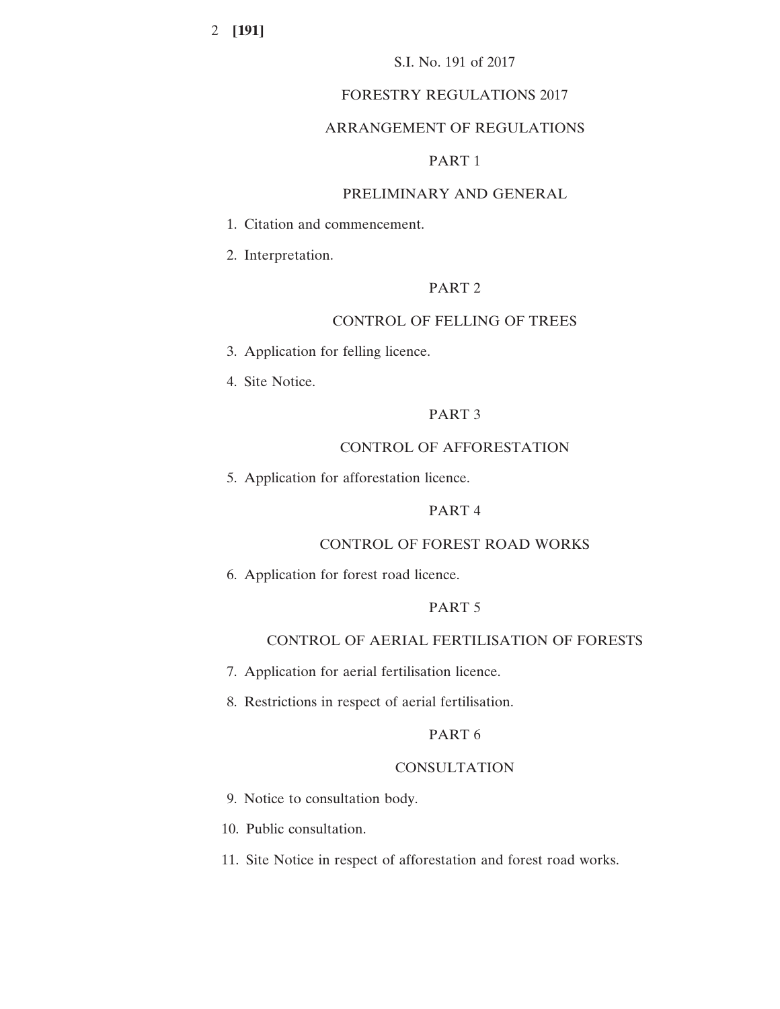## FORESTRY REGULATIONS 2017

## ARRANGEMENT OF REGULATIONS

## PART 1

## PRELIMINARY AND GENERAL

1. Citation and commencement.

2. Interpretation.

# PART 2

## CONTROL OF FELLING OF TREES

- 3. Application for felling licence.
- 4. Site Notice.

## PART 3

# CONTROL OF AFFORESTATION

5. Application for afforestation licence.

## PART 4

## CONTROL OF FOREST ROAD WORKS

6. Application for forest road licence.

## PART 5

# CONTROL OF AERIAL FERTILISATION OF FORESTS

- 7. Application for aerial fertilisation licence.
- 8. Restrictions in respect of aerial fertilisation.

## PART 6

#### **CONSULTATION**

- 9. Notice to consultation body.
- 10. Public consultation.
- 11. Site Notice in respect of afforestation and forest road works.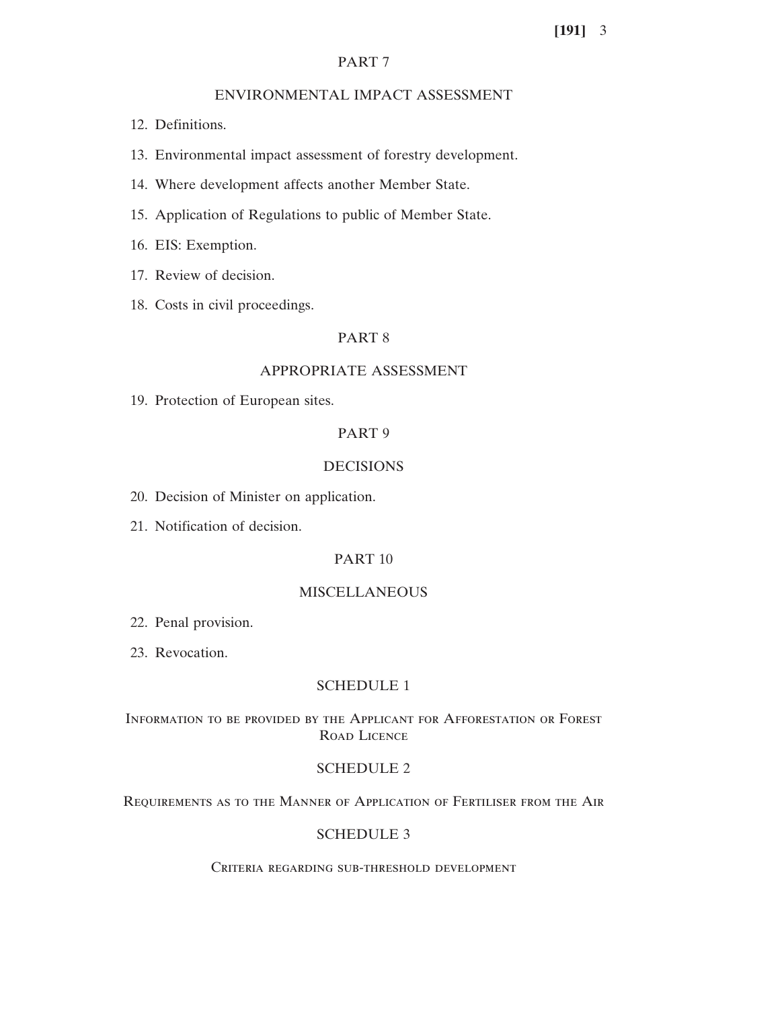## PART 7

## ENVIRONMENTAL IMPACT ASSESSMENT

- 12. Definitions.
- 13. Environmental impact assessment of forestry development.
- 14. Where development affects another Member State.
- 15. Application of Regulations to public of Member State.
- 16. EIS: Exemption.
- 17. Review of decision.
- 18. Costs in civil proceedings.

## PART 8

## APPROPRIATE ASSESSMENT

19. Protection of European sites.

## PART 9

## DECISIONS

- 20. Decision of Minister on application.
- 21. Notification of decision.

# PART 10

## MISCELLANEOUS

- 22. Penal provision.
- 23. Revocation.

# SCHEDULE 1

# Information to be provided by the Applicant for Afforestation or Forest Road Licence

## SCHEDULE 2

Requirements as to the Manner of Application of Fertiliser from the Air

# SCHEDULE 3

Criteria regarding sub-threshold development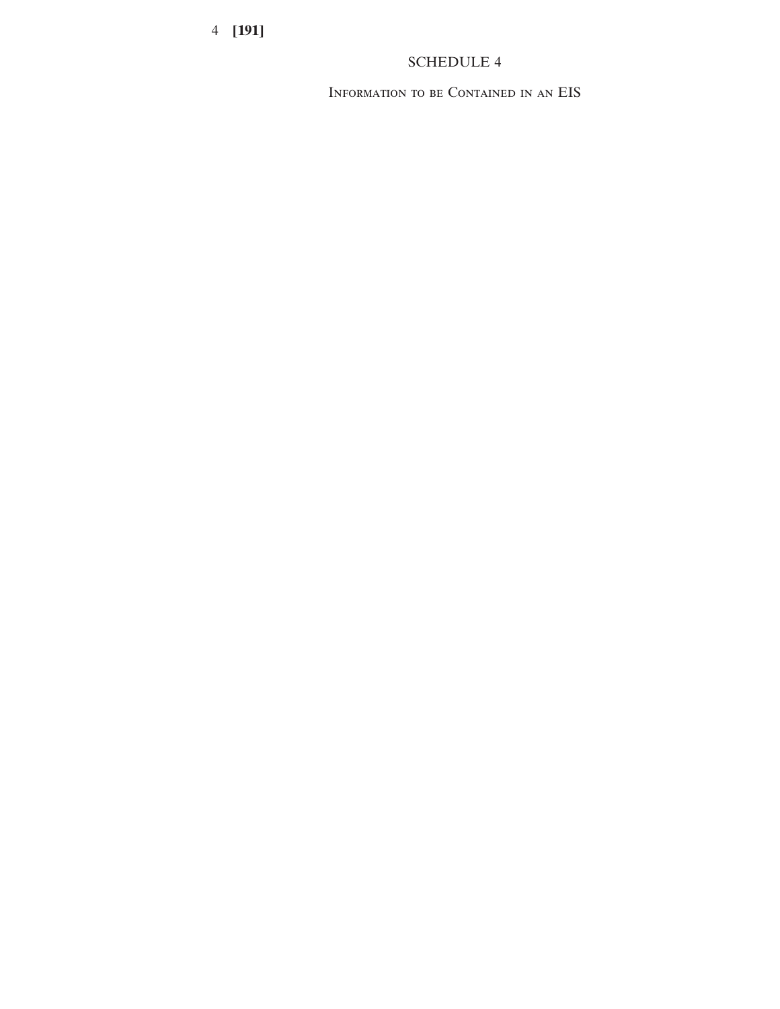# SCHEDULE 4

Information to be Contained in an EIS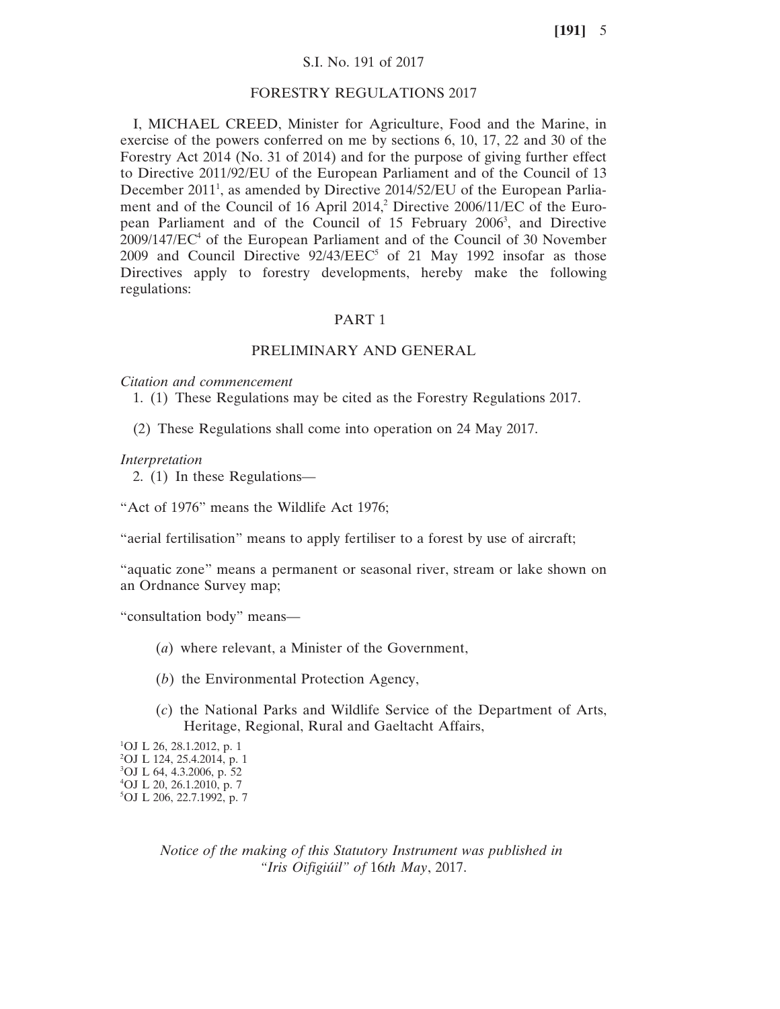## S.I. No. 191 of 2017

### FORESTRY REGULATIONS 2017

I, MICHAEL CREED, Minister for Agriculture, Food and the Marine, in exercise of the powers conferred on me by sections 6, 10, 17, 22 and 30 of the Forestry Act 2014 (No. 31 of 2014) and for the purpose of giving further effect to Directive 2011/92/EU of the European Parliament and of the Council of 13 December 2011<sup>1</sup>, as amended by Directive 2014/52/EU of the European Parliament and of the Council of 16 April 2014,<sup>2</sup> Directive 2006/11/EC of the European Parliament and of the Council of 15 February 2006<sup>3</sup>, and Directive 2009/147/EC4 of the European Parliament and of the Council of 30 November 2009 and Council Directive  $92/43/EEC^5$  of 21 May 1992 insofar as those Directives apply to forestry developments, hereby make the following regulations:

#### PART 1

## PRELIMINARY AND GENERAL

#### *Citation and commencement*

1. (1) These Regulations may be cited as the Forestry Regulations 2017.

(2) These Regulations shall come into operation on 24 May 2017.

#### *Interpretation*

2. (1) In these Regulations—

"Act of 1976" means the Wildlife Act 1976;

"aerial fertilisation" means to apply fertiliser to a forest by use of aircraft;

"aquatic zone" means a permanent or seasonal river, stream or lake shown on an Ordnance Survey map;

"consultation body" means—

- (*a*) where relevant, a Minister of the Government,
- (*b*) the Environmental Protection Agency,
- (*c*) the National Parks and Wildlife Service of the Department of Arts, Heritage, Regional, Rural and Gaeltacht Affairs,

 OJ L 26, 28.1.2012, p. 1 OJ L 124, 25.4.2014, p. 1 OJ L 64, 4.3.2006, p. 52 OJ L 20, 26.1.2010, p. 7 OJ L 206, 22.7.1992, p. 7

> *Notice of the making of this Statutory Instrument was published in "Iris Oifigiúil" of* 16*th May*, 2017.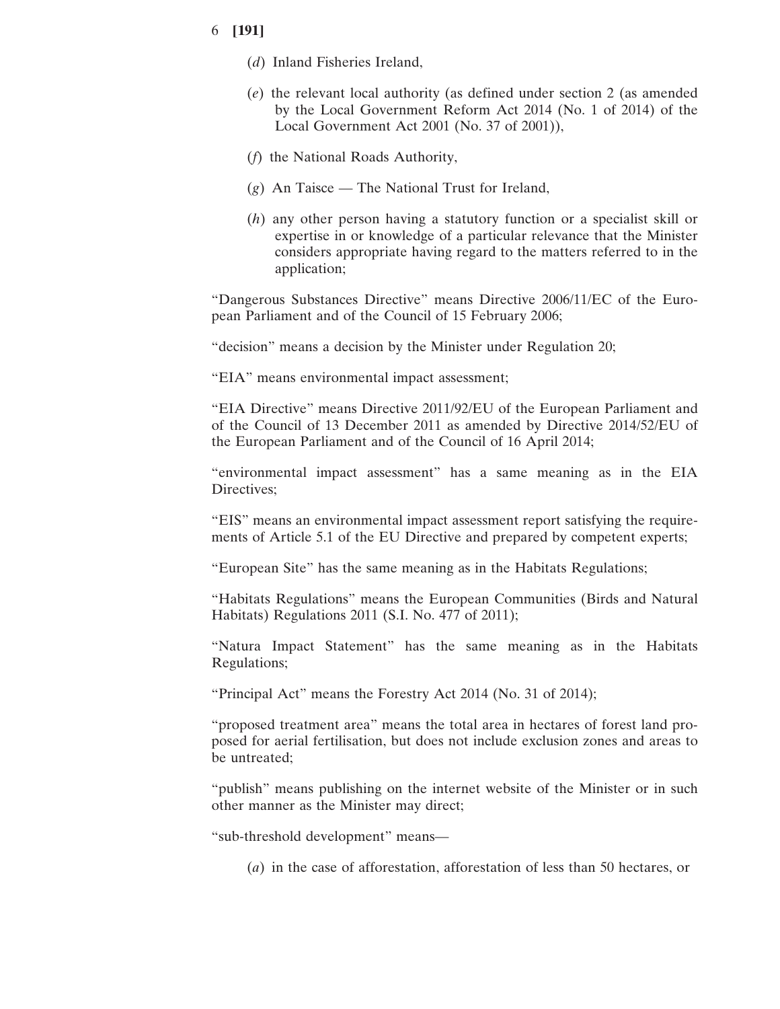- (*d*) Inland Fisheries Ireland,
- (*e*) the relevant local authority (as defined under section 2 (as amended by the Local Government Reform Act 2014 (No. 1 of 2014) of the Local Government Act 2001 (No. 37 of 2001)),
- (*f*) the National Roads Authority,
- (*g*) An Taisce The National Trust for Ireland,
- (*h*) any other person having a statutory function or a specialist skill or expertise in or knowledge of a particular relevance that the Minister considers appropriate having regard to the matters referred to in the application;

"Dangerous Substances Directive" means Directive 2006/11/EC of the European Parliament and of the Council of 15 February 2006;

"decision" means a decision by the Minister under Regulation 20;

"EIA" means environmental impact assessment;

"EIA Directive" means Directive 2011/92/EU of the European Parliament and of the Council of 13 December 2011 as amended by Directive 2014/52/EU of the European Parliament and of the Council of 16 April 2014;

"environmental impact assessment" has a same meaning as in the EIA Directives:

"EIS" means an environmental impact assessment report satisfying the requirements of Article 5.1 of the EU Directive and prepared by competent experts;

"European Site" has the same meaning as in the Habitats Regulations;

"Habitats Regulations" means the European Communities (Birds and Natural Habitats) Regulations 2011 (S.I. No. 477 of 2011);

"Natura Impact Statement" has the same meaning as in the Habitats Regulations;

"Principal Act" means the Forestry Act 2014 (No. 31 of 2014);

"proposed treatment area" means the total area in hectares of forest land proposed for aerial fertilisation, but does not include exclusion zones and areas to be untreated;

"publish" means publishing on the internet website of the Minister or in such other manner as the Minister may direct;

"sub-threshold development" means—

(*a*) in the case of afforestation, afforestation of less than 50 hectares, or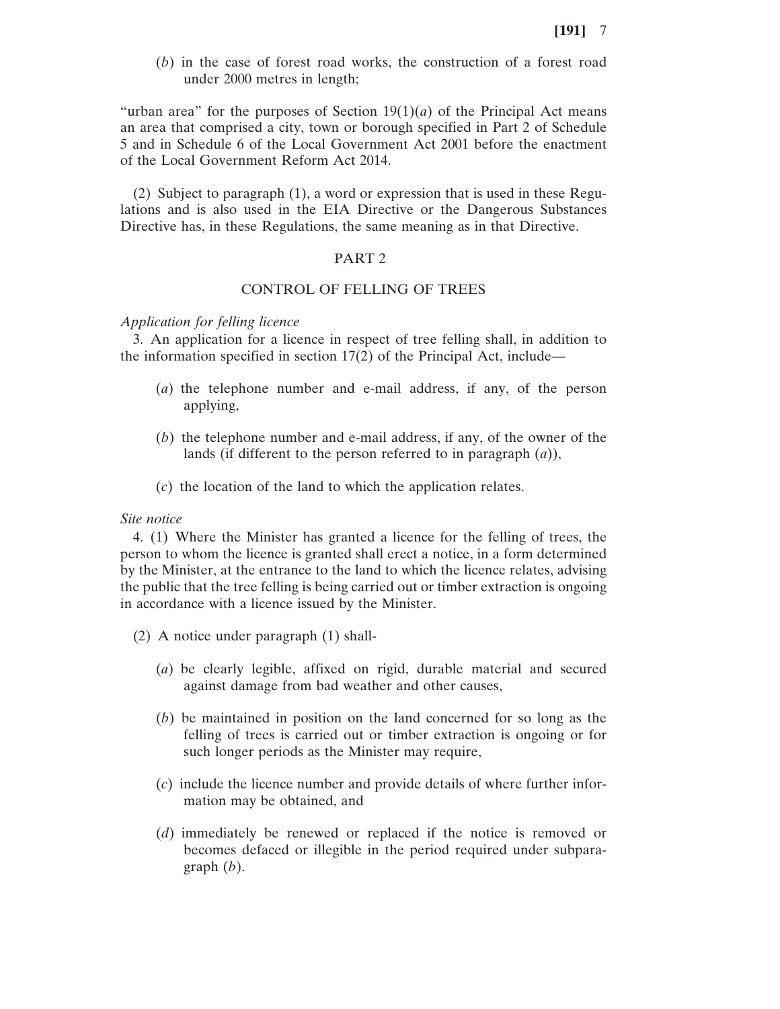(*b*) in the case of forest road works, the construction of a forest road under 2000 metres in length;

"urban area" for the purposes of Section  $19(1)(a)$  of the Principal Act means an area that comprised a city, town or borough specified in Part 2 of Schedule 5 and in Schedule 6 of the Local Government Act 2001 before the enactment of the Local Government Reform Act 2014.

(2) Subject to paragraph (1), a word or expression that is used in these Regulations and is also used in the EIA Directive or the Dangerous Substances Directive has, in these Regulations, the same meaning as in that Directive.

### PART 2

#### CONTROL OF FELLING OF TREES

#### *Application for felling licence*

3. An application for a licence in respect of tree felling shall, in addition to the information specified in section 17(2) of the Principal Act, include—

- (*a*) the telephone number and e-mail address, if any, of the person applying,
- (*b*) the telephone number and e-mail address, if any, of the owner of the lands (if different to the person referred to in paragraph (*a*)),
- (*c*) the location of the land to which the application relates.

## *Site notice*

4. (1) Where the Minister has granted a licence for the felling of trees, the person to whom the licence is granted shall erect a notice, in a form determined by the Minister, at the entrance to the land to which the licence relates, advising the public that the tree felling is being carried out or timber extraction is ongoing in accordance with a licence issued by the Minister.

- (2) A notice under paragraph (1) shall-
	- (*a*) be clearly legible, affixed on rigid, durable material and secured against damage from bad weather and other causes,
	- (*b*) be maintained in position on the land concerned for so long as the felling of trees is carried out or timber extraction is ongoing or for such longer periods as the Minister may require,
	- (*c*) include the licence number and provide details of where further information may be obtained, and
	- (*d*) immediately be renewed or replaced if the notice is removed or becomes defaced or illegible in the period required under subparagraph (*b*).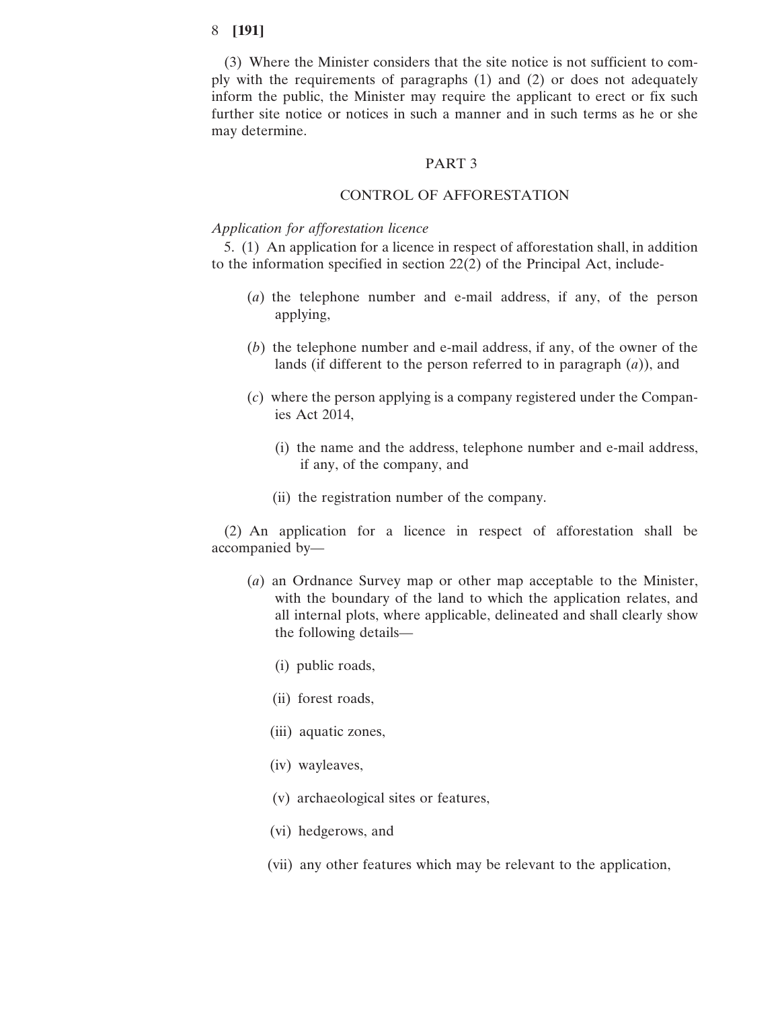(3) Where the Minister considers that the site notice is not sufficient to comply with the requirements of paragraphs (1) and (2) or does not adequately inform the public, the Minister may require the applicant to erect or fix such further site notice or notices in such a manner and in such terms as he or she may determine.

#### PART 3

## CONTROL OF AFFORESTATION

#### *Application for afforestation licence*

5. (1) An application for a licence in respect of afforestation shall, in addition to the information specified in section 22(2) of the Principal Act, include-

- (*a*) the telephone number and e-mail address, if any, of the person applying,
- (*b*) the telephone number and e-mail address, if any, of the owner of the lands (if different to the person referred to in paragraph (*a*)), and
- (*c*) where the person applying is a company registered under the Companies Act 2014,
	- (i) the name and the address, telephone number and e-mail address, if any, of the company, and
	- (ii) the registration number of the company.

(2) An application for a licence in respect of afforestation shall be accompanied by—

- (*a*) an Ordnance Survey map or other map acceptable to the Minister, with the boundary of the land to which the application relates, and all internal plots, where applicable, delineated and shall clearly show the following details—
	- (i) public roads,
	- (ii) forest roads,
	- (iii) aquatic zones,
	- (iv) wayleaves,
	- (v) archaeological sites or features,
	- (vi) hedgerows, and
	- (vii) any other features which may be relevant to the application,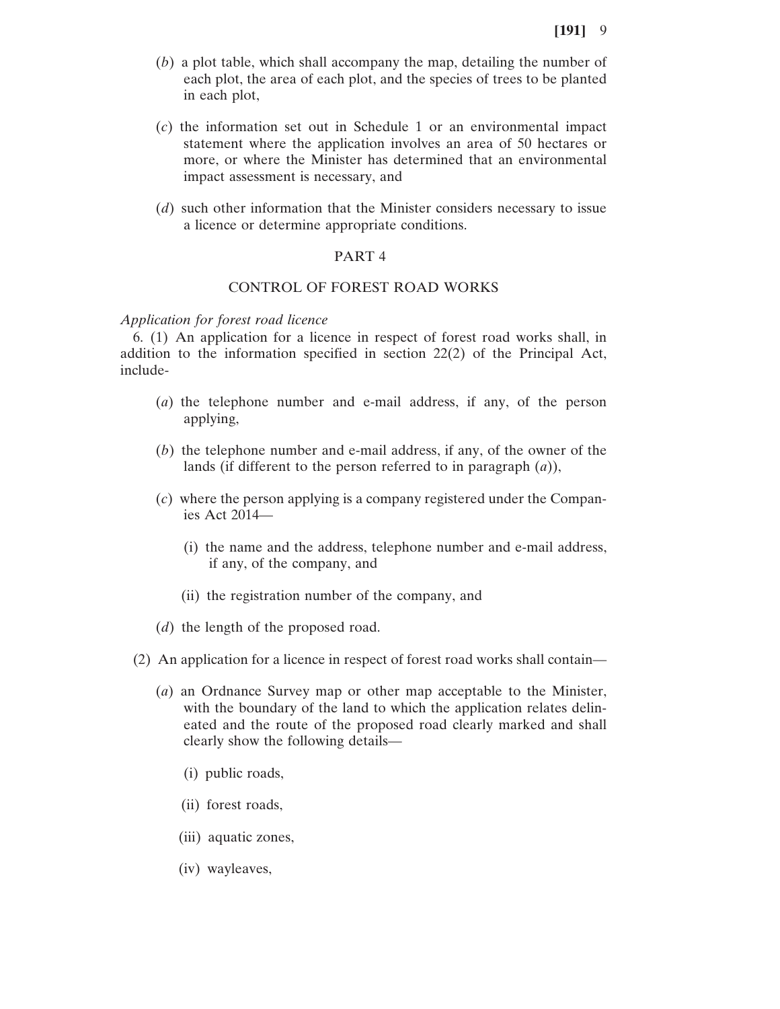- (*b*) a plot table, which shall accompany the map, detailing the number of each plot, the area of each plot, and the species of trees to be planted in each plot,
- (*c*) the information set out in Schedule 1 or an environmental impact statement where the application involves an area of 50 hectares or more, or where the Minister has determined that an environmental impact assessment is necessary, and
- (*d*) such other information that the Minister considers necessary to issue a licence or determine appropriate conditions.

## PART 4

# CONTROL OF FOREST ROAD WORKS

#### *Application for forest road licence*

6. (1) An application for a licence in respect of forest road works shall, in addition to the information specified in section 22(2) of the Principal Act, include-

- (*a*) the telephone number and e-mail address, if any, of the person applying,
- (*b*) the telephone number and e-mail address, if any, of the owner of the lands (if different to the person referred to in paragraph (*a*)),
- (*c*) where the person applying is a company registered under the Companies Act 2014—
	- (i) the name and the address, telephone number and e-mail address, if any, of the company, and
	- (ii) the registration number of the company, and
- (*d*) the length of the proposed road.
- (2) An application for a licence in respect of forest road works shall contain—
	- (*a*) an Ordnance Survey map or other map acceptable to the Minister, with the boundary of the land to which the application relates delineated and the route of the proposed road clearly marked and shall clearly show the following details—
		- (i) public roads,
		- (ii) forest roads,
		- (iii) aquatic zones,
		- (iv) wayleaves,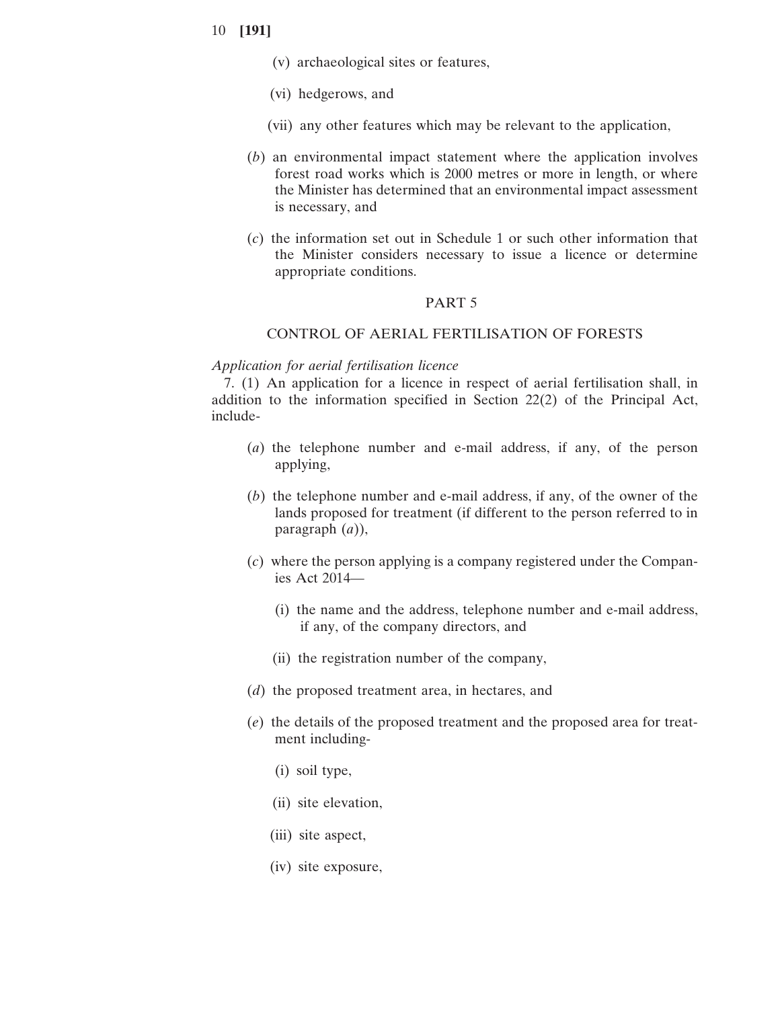- (v) archaeological sites or features,
- (vi) hedgerows, and
- (vii) any other features which may be relevant to the application,
- (*b*) an environmental impact statement where the application involves forest road works which is 2000 metres or more in length, or where the Minister has determined that an environmental impact assessment is necessary, and
- (*c*) the information set out in Schedule 1 or such other information that the Minister considers necessary to issue a licence or determine appropriate conditions.

### PART 5

### CONTROL OF AERIAL FERTILISATION OF FORESTS

#### *Application for aerial fertilisation licence*

7. (1) An application for a licence in respect of aerial fertilisation shall, in addition to the information specified in Section 22(2) of the Principal Act, include-

- (*a*) the telephone number and e-mail address, if any, of the person applying,
- (*b*) the telephone number and e-mail address, if any, of the owner of the lands proposed for treatment (if different to the person referred to in paragraph (*a*)),
- (*c*) where the person applying is a company registered under the Companies Act 2014—
	- (i) the name and the address, telephone number and e-mail address, if any, of the company directors, and
	- (ii) the registration number of the company,
- (*d*) the proposed treatment area, in hectares, and
- (*e*) the details of the proposed treatment and the proposed area for treatment including-
	- (i) soil type,
	- (ii) site elevation,
	- (iii) site aspect,
	- (iv) site exposure,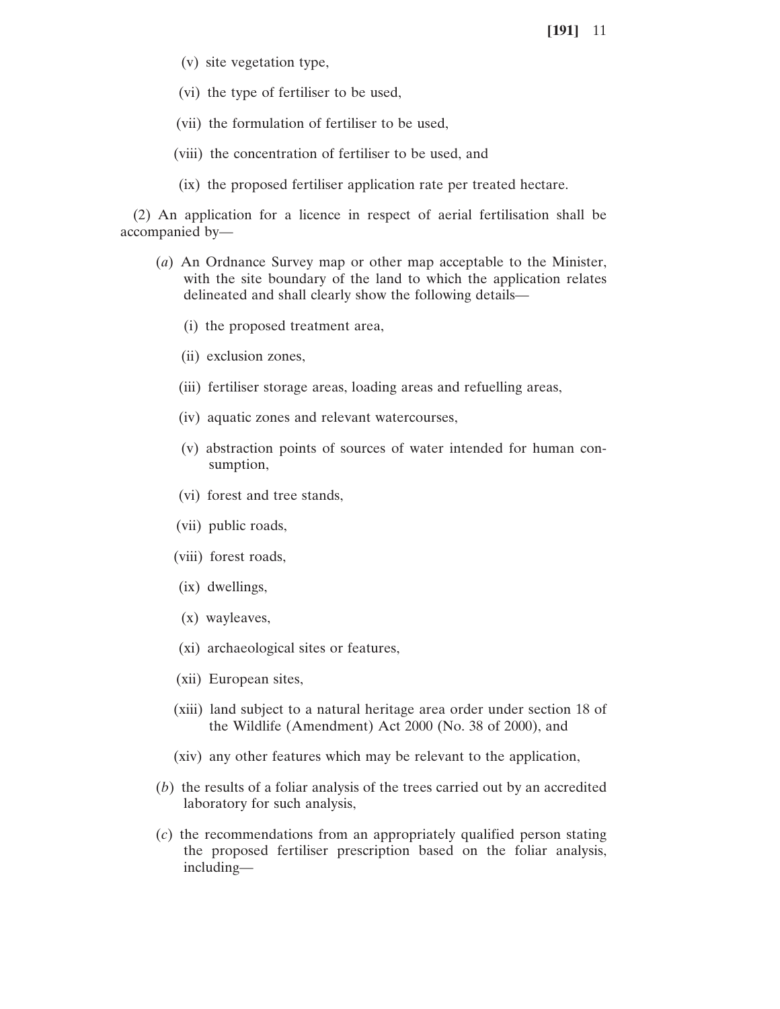- (v) site vegetation type,
- (vi) the type of fertiliser to be used,
- (vii) the formulation of fertiliser to be used,
- (viii) the concentration of fertiliser to be used, and
- (ix) the proposed fertiliser application rate per treated hectare.

(2) An application for a licence in respect of aerial fertilisation shall be accompanied by—

- (*a*) An Ordnance Survey map or other map acceptable to the Minister, with the site boundary of the land to which the application relates delineated and shall clearly show the following details—
	- (i) the proposed treatment area,
	- (ii) exclusion zones,
	- (iii) fertiliser storage areas, loading areas and refuelling areas,
	- (iv) aquatic zones and relevant watercourses,
	- (v) abstraction points of sources of water intended for human consumption,
	- (vi) forest and tree stands,
	- (vii) public roads,
	- (viii) forest roads,
	- (ix) dwellings,
	- (x) wayleaves,
	- (xi) archaeological sites or features,
	- (xii) European sites,
	- (xiii) land subject to a natural heritage area order under section 18 of the Wildlife (Amendment) Act 2000 (No. 38 of 2000), and
	- (xiv) any other features which may be relevant to the application,
- (*b*) the results of a foliar analysis of the trees carried out by an accredited laboratory for such analysis,
- (*c*) the recommendations from an appropriately qualified person stating the proposed fertiliser prescription based on the foliar analysis, including—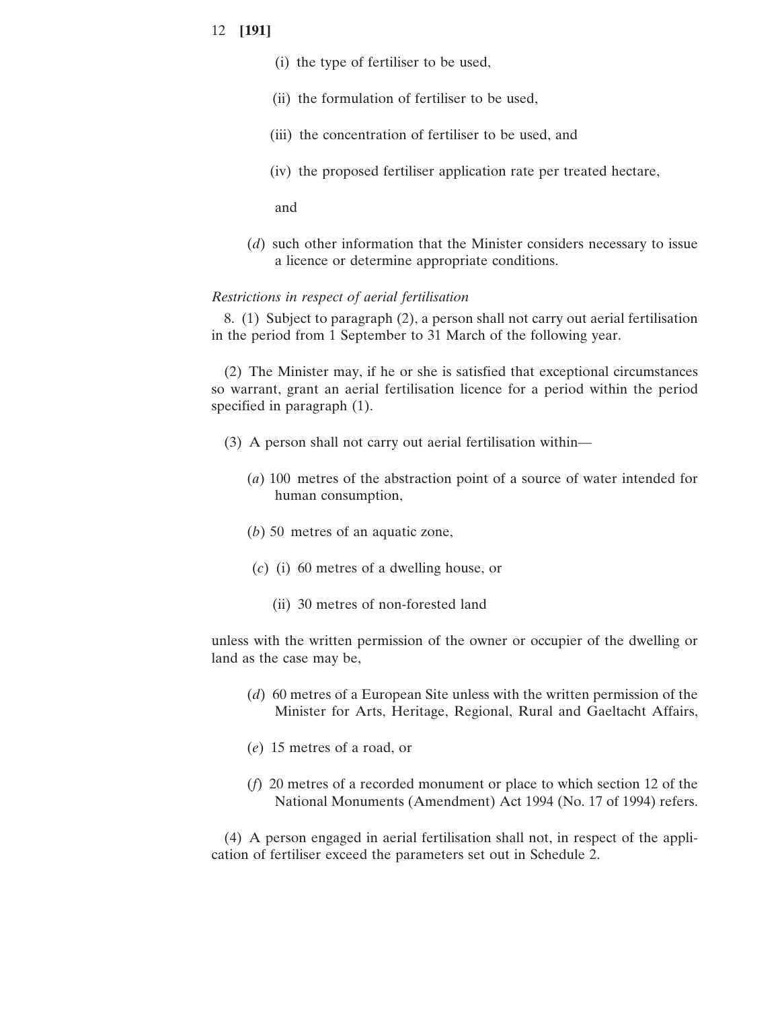- (i) the type of fertiliser to be used,
- (ii) the formulation of fertiliser to be used,
- (iii) the concentration of fertiliser to be used, and
- (iv) the proposed fertiliser application rate per treated hectare,

and

(*d*) such other information that the Minister considers necessary to issue a licence or determine appropriate conditions.

## *Restrictions in respect of aerial fertilisation*

8. (1) Subject to paragraph (2), a person shall not carry out aerial fertilisation in the period from 1 September to 31 March of the following year.

(2) The Minister may, if he or she is satisfied that exceptional circumstances so warrant, grant an aerial fertilisation licence for a period within the period specified in paragraph (1).

- (3) A person shall not carry out aerial fertilisation within—
	- (*a*) 100 metres of the abstraction point of a source of water intended for human consumption,
	- (*b*) 50 metres of an aquatic zone,
	- (*c*) (i) 60 metres of a dwelling house, or
		- (ii) 30 metres of non-forested land

unless with the written permission of the owner or occupier of the dwelling or land as the case may be,

- (*d*) 60 metres of a European Site unless with the written permission of the Minister for Arts, Heritage, Regional, Rural and Gaeltacht Affairs,
- (*e*) 15 metres of a road, or
- (*f*) 20 metres of a recorded monument or place to which section 12 of the National Monuments (Amendment) Act 1994 (No. 17 of 1994) refers.

(4) A person engaged in aerial fertilisation shall not, in respect of the application of fertiliser exceed the parameters set out in Schedule 2.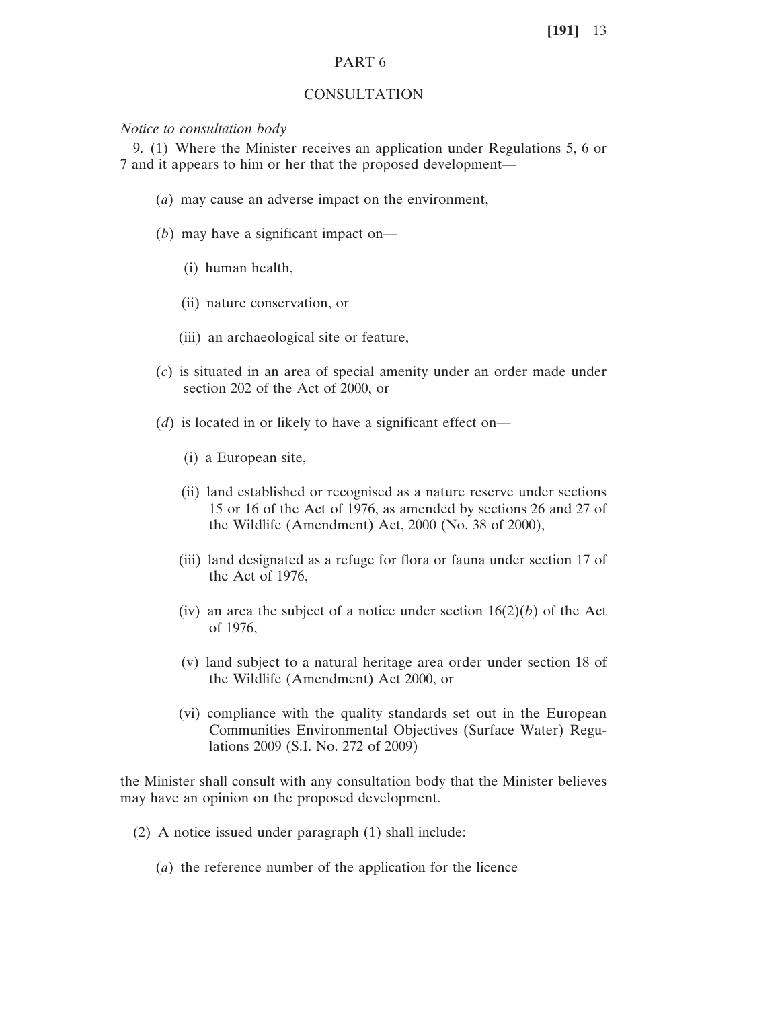## PART 6

#### CONSULTATION

### *Notice to consultation body*

9. (1) Where the Minister receives an application under Regulations 5, 6 or 7 and it appears to him or her that the proposed development—

- (*a*) may cause an adverse impact on the environment,
- (*b*) may have a significant impact on—
	- (i) human health,
	- (ii) nature conservation, or
	- (iii) an archaeological site or feature,
- (*c*) is situated in an area of special amenity under an order made under section 202 of the Act of 2000, or
- (*d*) is located in or likely to have a significant effect on—
	- (i) a European site,
	- (ii) land established or recognised as a nature reserve under sections 15 or 16 of the Act of 1976, as amended by sections 26 and 27 of the Wildlife (Amendment) Act, 2000 (No. 38 of 2000),
	- (iii) land designated as a refuge for flora or fauna under section 17 of the Act of 1976,
	- (iv) an area the subject of a notice under section  $16(2)(b)$  of the Act of 1976,
	- (v) land subject to a natural heritage area order under section 18 of the Wildlife (Amendment) Act 2000, or
	- (vi) compliance with the quality standards set out in the European Communities Environmental Objectives (Surface Water) Regulations 2009 (S.I. No. 272 of 2009)

the Minister shall consult with any consultation body that the Minister believes may have an opinion on the proposed development.

- (2) A notice issued under paragraph (1) shall include:
	- (*a*) the reference number of the application for the licence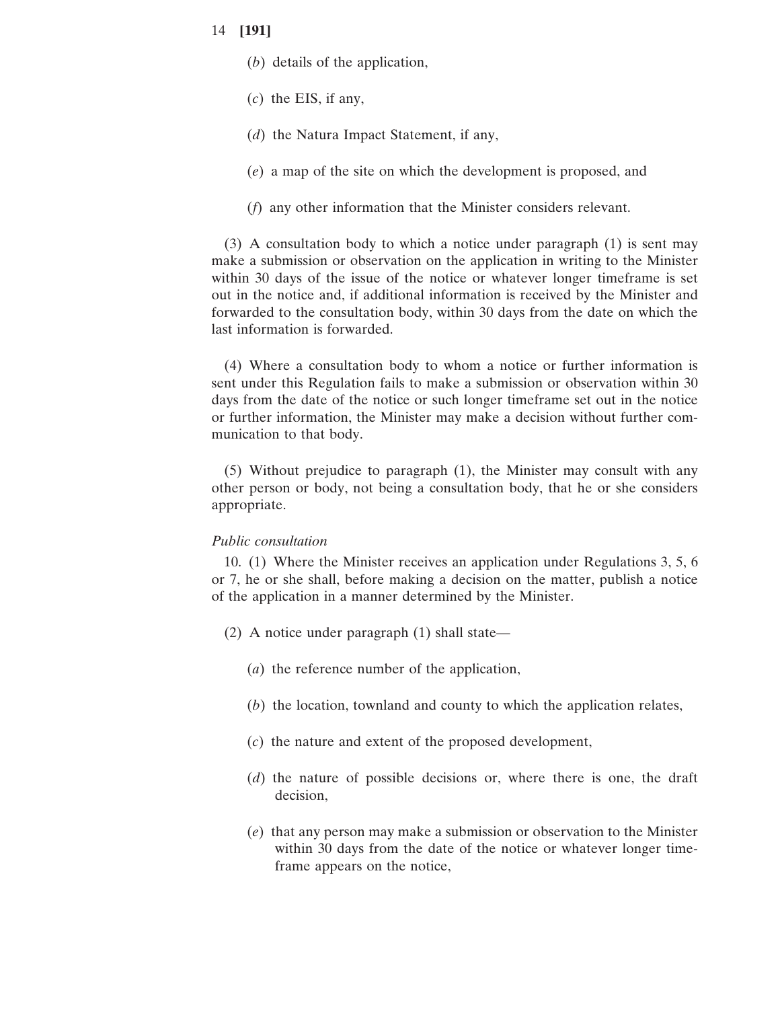- (*b*) details of the application,
- (*c*) the EIS, if any,
- (*d*) the Natura Impact Statement, if any,
- (*e*) a map of the site on which the development is proposed, and
- (*f*) any other information that the Minister considers relevant.

(3) A consultation body to which a notice under paragraph (1) is sent may make a submission or observation on the application in writing to the Minister within 30 days of the issue of the notice or whatever longer timeframe is set out in the notice and, if additional information is received by the Minister and forwarded to the consultation body, within 30 days from the date on which the last information is forwarded.

(4) Where a consultation body to whom a notice or further information is sent under this Regulation fails to make a submission or observation within 30 days from the date of the notice or such longer timeframe set out in the notice or further information, the Minister may make a decision without further communication to that body.

(5) Without prejudice to paragraph (1), the Minister may consult with any other person or body, not being a consultation body, that he or she considers appropriate.

#### *Public consultation*

10. (1) Where the Minister receives an application under Regulations 3, 5, 6 or 7, he or she shall, before making a decision on the matter, publish a notice of the application in a manner determined by the Minister.

- (2) A notice under paragraph (1) shall state—
	- (*a*) the reference number of the application,
	- (*b*) the location, townland and county to which the application relates,
	- (*c*) the nature and extent of the proposed development,
	- (*d*) the nature of possible decisions or, where there is one, the draft decision,
	- (*e*) that any person may make a submission or observation to the Minister within 30 days from the date of the notice or whatever longer timeframe appears on the notice,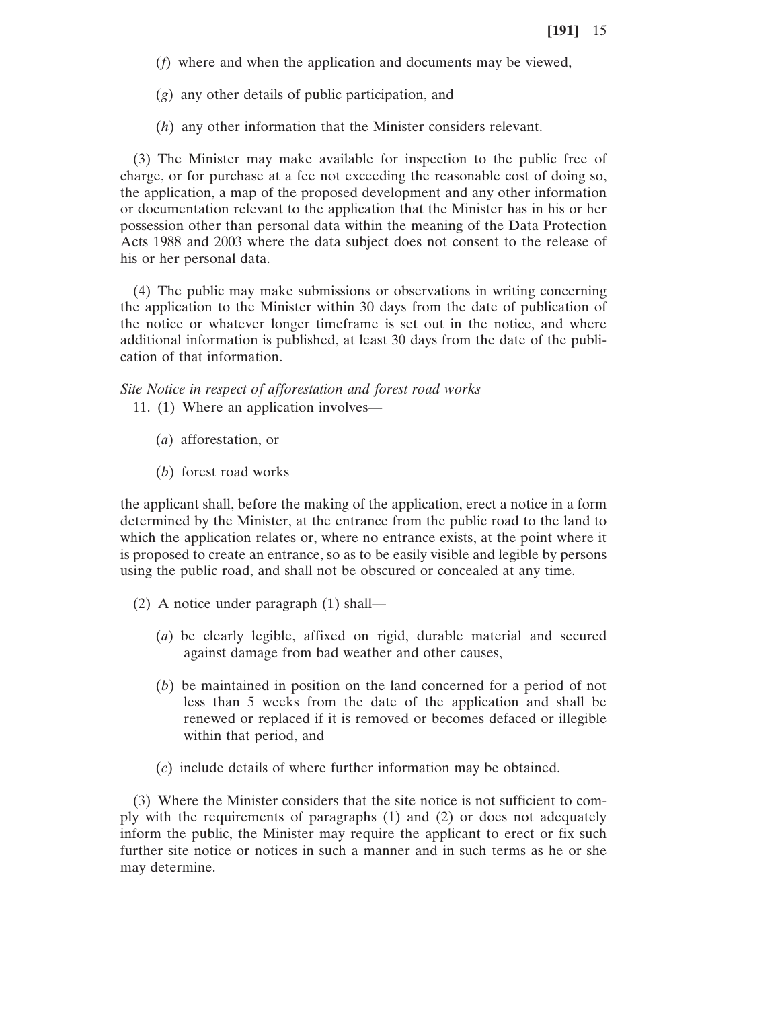- (*f*) where and when the application and documents may be viewed,
- (*g*) any other details of public participation, and
- (*h*) any other information that the Minister considers relevant.

(3) The Minister may make available for inspection to the public free of charge, or for purchase at a fee not exceeding the reasonable cost of doing so, the application, a map of the proposed development and any other information or documentation relevant to the application that the Minister has in his or her possession other than personal data within the meaning of the Data Protection Acts 1988 and 2003 where the data subject does not consent to the release of his or her personal data.

(4) The public may make submissions or observations in writing concerning the application to the Minister within 30 days from the date of publication of the notice or whatever longer timeframe is set out in the notice, and where additional information is published, at least 30 days from the date of the publication of that information.

*Site Notice in respect of afforestation and forest road works*

- 11. (1) Where an application involves—
	- (*a*) afforestation, or
	- (*b*) forest road works

the applicant shall, before the making of the application, erect a notice in a form determined by the Minister, at the entrance from the public road to the land to which the application relates or, where no entrance exists, at the point where it is proposed to create an entrance, so as to be easily visible and legible by persons using the public road, and shall not be obscured or concealed at any time.

- (2) A notice under paragraph (1) shall—
	- (*a*) be clearly legible, affixed on rigid, durable material and secured against damage from bad weather and other causes,
	- (*b*) be maintained in position on the land concerned for a period of not less than 5 weeks from the date of the application and shall be renewed or replaced if it is removed or becomes defaced or illegible within that period, and
	- (*c*) include details of where further information may be obtained.

(3) Where the Minister considers that the site notice is not sufficient to comply with the requirements of paragraphs (1) and (2) or does not adequately inform the public, the Minister may require the applicant to erect or fix such further site notice or notices in such a manner and in such terms as he or she may determine.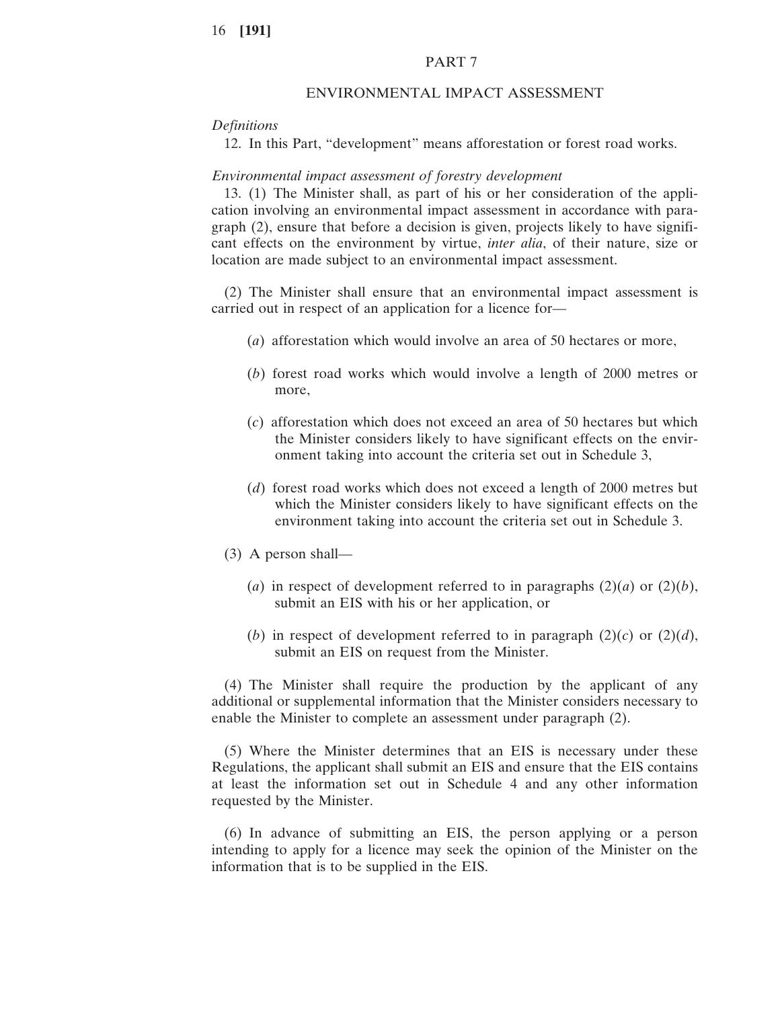## PART 7

#### ENVIRONMENTAL IMPACT ASSESSMENT

#### *Definitions*

12. In this Part, "development" means afforestation or forest road works.

#### *Environmental impact assessment of forestry development*

13. (1) The Minister shall, as part of his or her consideration of the application involving an environmental impact assessment in accordance with paragraph (2), ensure that before a decision is given, projects likely to have significant effects on the environment by virtue, *inter alia*, of their nature, size or location are made subject to an environmental impact assessment.

(2) The Minister shall ensure that an environmental impact assessment is carried out in respect of an application for a licence for—

- (*a*) afforestation which would involve an area of 50 hectares or more,
- (*b*) forest road works which would involve a length of 2000 metres or more,
- (*c*) afforestation which does not exceed an area of 50 hectares but which the Minister considers likely to have significant effects on the environment taking into account the criteria set out in Schedule 3,
- (*d*) forest road works which does not exceed a length of 2000 metres but which the Minister considers likely to have significant effects on the environment taking into account the criteria set out in Schedule 3.
- (3) A person shall—
	- (*a*) in respect of development referred to in paragraphs  $(2)(a)$  or  $(2)(b)$ , submit an EIS with his or her application, or
	- (*b*) in respect of development referred to in paragraph  $(2)(c)$  or  $(2)(d)$ , submit an EIS on request from the Minister.

(4) The Minister shall require the production by the applicant of any additional or supplemental information that the Minister considers necessary to enable the Minister to complete an assessment under paragraph (2).

(5) Where the Minister determines that an EIS is necessary under these Regulations, the applicant shall submit an EIS and ensure that the EIS contains at least the information set out in Schedule 4 and any other information requested by the Minister.

(6) In advance of submitting an EIS, the person applying or a person intending to apply for a licence may seek the opinion of the Minister on the information that is to be supplied in the EIS.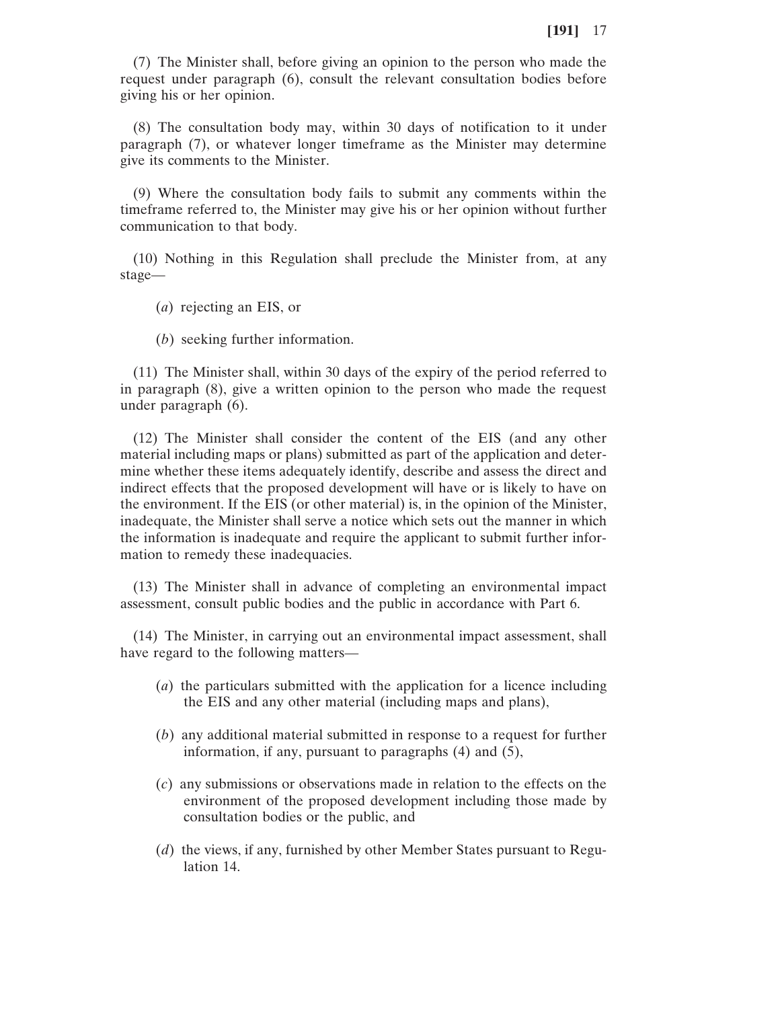(7) The Minister shall, before giving an opinion to the person who made the request under paragraph (6), consult the relevant consultation bodies before giving his or her opinion.

(8) The consultation body may, within 30 days of notification to it under paragraph (7), or whatever longer timeframe as the Minister may determine give its comments to the Minister.

(9) Where the consultation body fails to submit any comments within the timeframe referred to, the Minister may give his or her opinion without further communication to that body.

(10) Nothing in this Regulation shall preclude the Minister from, at any stage—

(*a*) rejecting an EIS, or

(*b*) seeking further information.

(11) The Minister shall, within 30 days of the expiry of the period referred to in paragraph (8), give a written opinion to the person who made the request under paragraph (6).

(12) The Minister shall consider the content of the EIS (and any other material including maps or plans) submitted as part of the application and determine whether these items adequately identify, describe and assess the direct and indirect effects that the proposed development will have or is likely to have on the environment. If the EIS (or other material) is, in the opinion of the Minister, inadequate, the Minister shall serve a notice which sets out the manner in which the information is inadequate and require the applicant to submit further information to remedy these inadequacies.

(13) The Minister shall in advance of completing an environmental impact assessment, consult public bodies and the public in accordance with Part 6.

(14) The Minister, in carrying out an environmental impact assessment, shall have regard to the following matters—

- (*a*) the particulars submitted with the application for a licence including the EIS and any other material (including maps and plans),
- (*b*) any additional material submitted in response to a request for further information, if any, pursuant to paragraphs (4) and (5),
- (*c*) any submissions or observations made in relation to the effects on the environment of the proposed development including those made by consultation bodies or the public, and
- (*d*) the views, if any, furnished by other Member States pursuant to Regulation 14.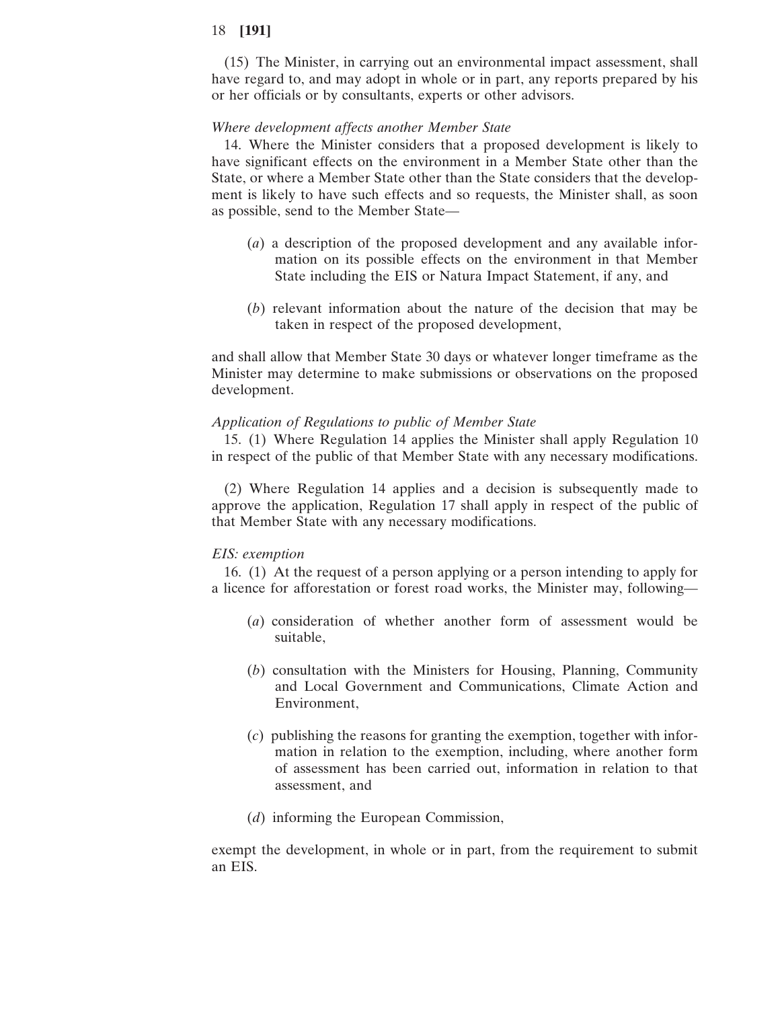(15) The Minister, in carrying out an environmental impact assessment, shall have regard to, and may adopt in whole or in part, any reports prepared by his or her officials or by consultants, experts or other advisors.

#### *Where development affects another Member State*

14. Where the Minister considers that a proposed development is likely to have significant effects on the environment in a Member State other than the State, or where a Member State other than the State considers that the development is likely to have such effects and so requests, the Minister shall, as soon as possible, send to the Member State—

- (*a*) a description of the proposed development and any available information on its possible effects on the environment in that Member State including the EIS or Natura Impact Statement, if any, and
- (*b*) relevant information about the nature of the decision that may be taken in respect of the proposed development,

and shall allow that Member State 30 days or whatever longer timeframe as the Minister may determine to make submissions or observations on the proposed development.

#### *Application of Regulations to public of Member State*

15. (1) Where Regulation 14 applies the Minister shall apply Regulation 10 in respect of the public of that Member State with any necessary modifications.

(2) Where Regulation 14 applies and a decision is subsequently made to approve the application, Regulation 17 shall apply in respect of the public of that Member State with any necessary modifications.

#### *EIS: exemption*

16. (1) At the request of a person applying or a person intending to apply for a licence for afforestation or forest road works, the Minister may, following—

- (*a*) consideration of whether another form of assessment would be suitable,
- (*b*) consultation with the Ministers for Housing, Planning, Community and Local Government and Communications, Climate Action and Environment,
- (*c*) publishing the reasons for granting the exemption, together with information in relation to the exemption, including, where another form of assessment has been carried out, information in relation to that assessment, and
- (*d*) informing the European Commission,

exempt the development, in whole or in part, from the requirement to submit an EIS.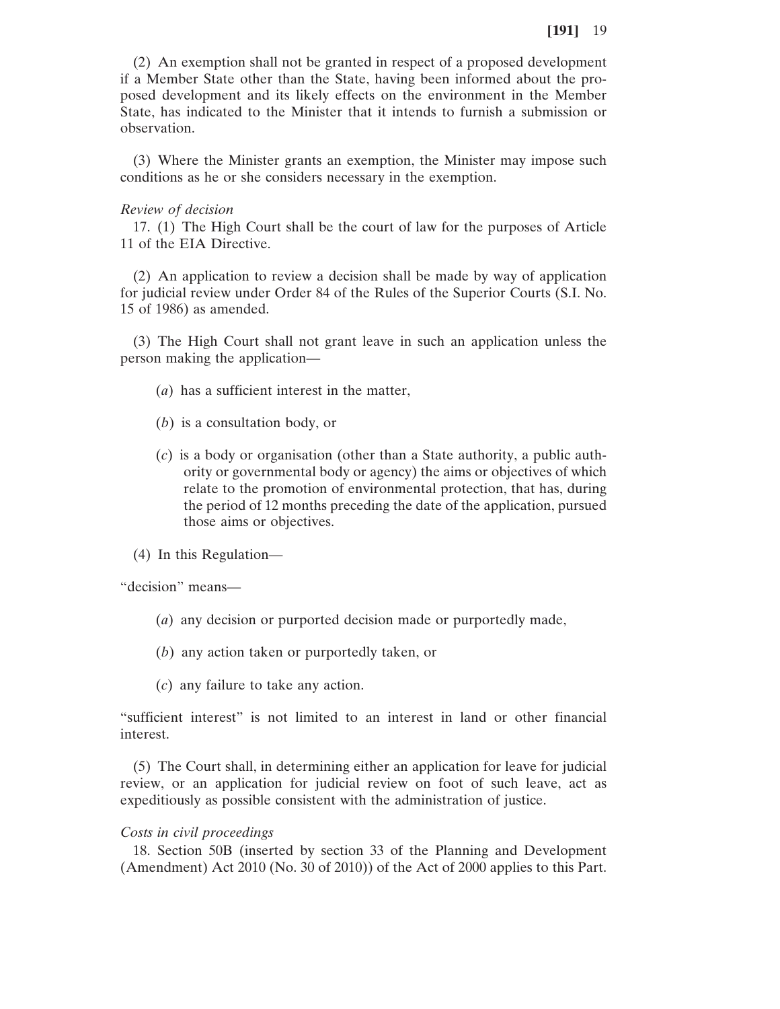(2) An exemption shall not be granted in respect of a proposed development if a Member State other than the State, having been informed about the proposed development and its likely effects on the environment in the Member State, has indicated to the Minister that it intends to furnish a submission or observation.

(3) Where the Minister grants an exemption, the Minister may impose such conditions as he or she considers necessary in the exemption.

### *Review of decision*

17. (1) The High Court shall be the court of law for the purposes of Article 11 of the EIA Directive.

(2) An application to review a decision shall be made by way of application for judicial review under Order 84 of the Rules of the Superior Courts (S.I. No. 15 of 1986) as amended.

(3) The High Court shall not grant leave in such an application unless the person making the application—

- (*a*) has a sufficient interest in the matter,
- (*b*) is a consultation body, or
- (*c*) is a body or organisation (other than a State authority, a public authority or governmental body or agency) the aims or objectives of which relate to the promotion of environmental protection, that has, during the period of 12 months preceding the date of the application, pursued those aims or objectives.
- (4) In this Regulation—

"decision" means—

- (*a*) any decision or purported decision made or purportedly made,
- (*b*) any action taken or purportedly taken, or
- (*c*) any failure to take any action.

"sufficient interest" is not limited to an interest in land or other financial interest.

(5) The Court shall, in determining either an application for leave for judicial review, or an application for judicial review on foot of such leave, act as expeditiously as possible consistent with the administration of justice.

#### *Costs in civil proceedings*

18. Section 50B (inserted by section 33 of the Planning and Development (Amendment) Act 2010 (No. 30 of 2010)) of the Act of 2000 applies to this Part.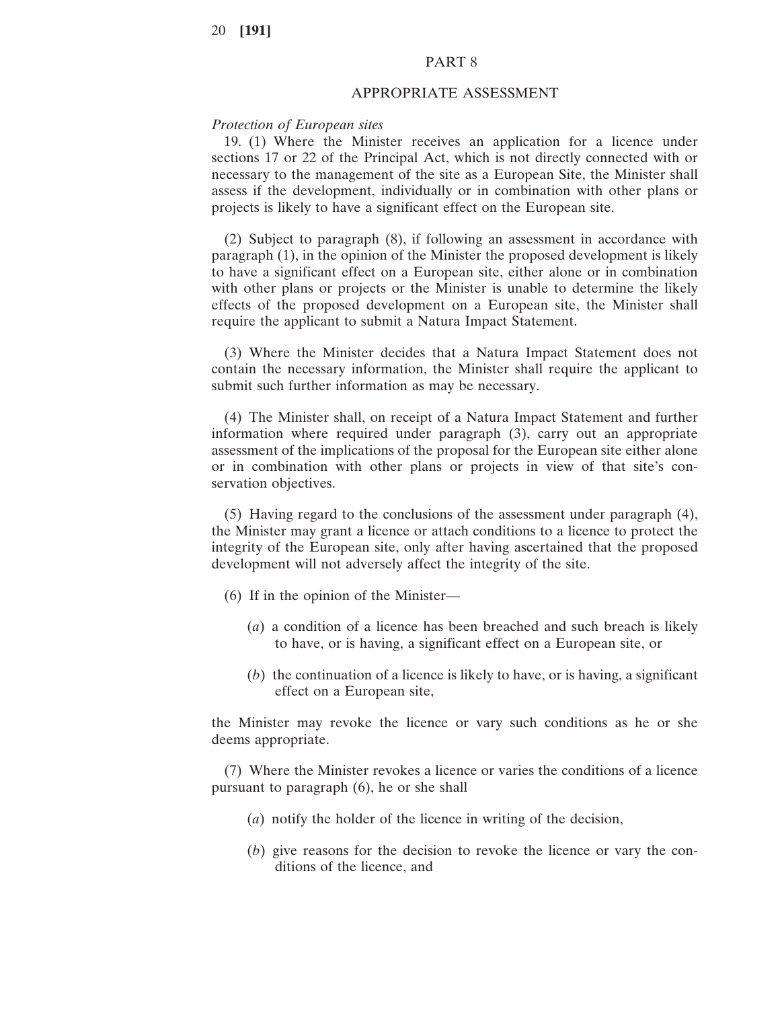## PART 8

#### APPROPRIATE ASSESSMENT

## *Protection of European sites*

19. (1) Where the Minister receives an application for a licence under sections 17 or 22 of the Principal Act, which is not directly connected with or necessary to the management of the site as a European Site, the Minister shall assess if the development, individually or in combination with other plans or projects is likely to have a significant effect on the European site.

(2) Subject to paragraph (8), if following an assessment in accordance with paragraph (1), in the opinion of the Minister the proposed development is likely to have a significant effect on a European site, either alone or in combination with other plans or projects or the Minister is unable to determine the likely effects of the proposed development on a European site, the Minister shall require the applicant to submit a Natura Impact Statement.

(3) Where the Minister decides that a Natura Impact Statement does not contain the necessary information, the Minister shall require the applicant to submit such further information as may be necessary.

(4) The Minister shall, on receipt of a Natura Impact Statement and further information where required under paragraph (3), carry out an appropriate assessment of the implications of the proposal for the European site either alone or in combination with other plans or projects in view of that site's conservation objectives.

(5) Having regard to the conclusions of the assessment under paragraph (4), the Minister may grant a licence or attach conditions to a licence to protect the integrity of the European site, only after having ascertained that the proposed development will not adversely affect the integrity of the site.

- (6) If in the opinion of the Minister—
	- (*a*) a condition of a licence has been breached and such breach is likely to have, or is having, a significant effect on a European site, or
	- (*b*) the continuation of a licence is likely to have, or is having, a significant effect on a European site,

the Minister may revoke the licence or vary such conditions as he or she deems appropriate.

(7) Where the Minister revokes a licence or varies the conditions of a licence pursuant to paragraph (6), he or she shall

- (*a*) notify the holder of the licence in writing of the decision,
- (*b*) give reasons for the decision to revoke the licence or vary the conditions of the licence, and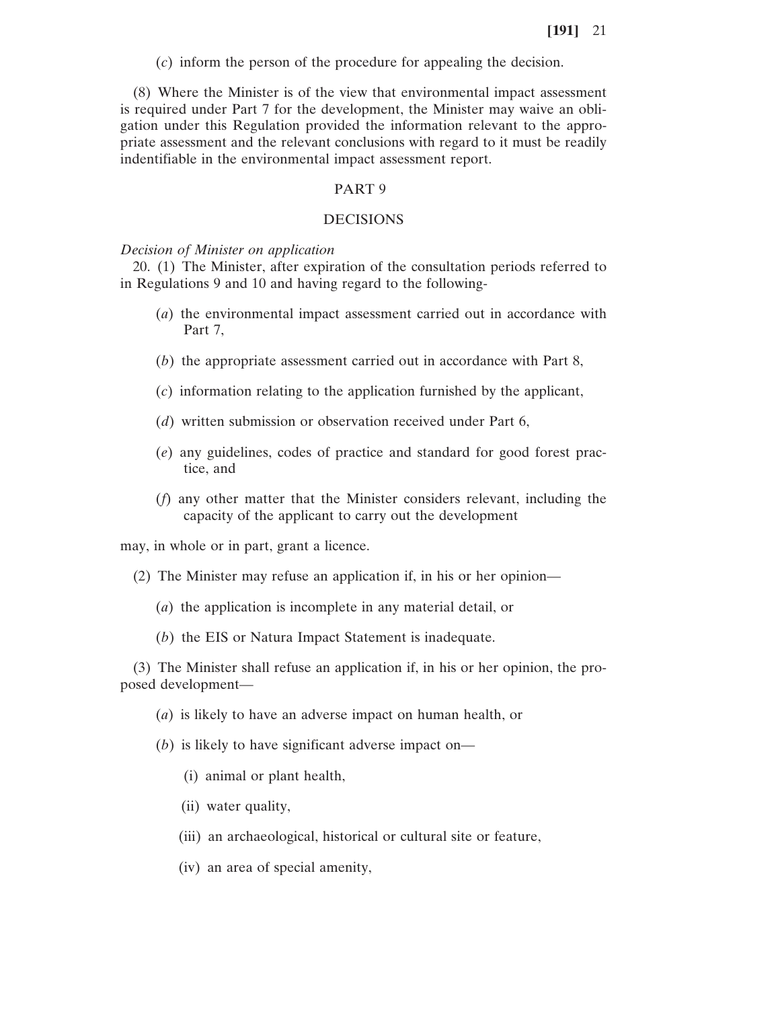(*c*) inform the person of the procedure for appealing the decision.

(8) Where the Minister is of the view that environmental impact assessment is required under Part 7 for the development, the Minister may waive an obligation under this Regulation provided the information relevant to the appropriate assessment and the relevant conclusions with regard to it must be readily indentifiable in the environmental impact assessment report.

## PART 9

#### DECISIONS

*Decision of Minister on application*

20. (1) The Minister, after expiration of the consultation periods referred to in Regulations 9 and 10 and having regard to the following-

- (*a*) the environmental impact assessment carried out in accordance with Part 7,
- (*b*) the appropriate assessment carried out in accordance with Part 8,
- (*c*) information relating to the application furnished by the applicant,
- (*d*) written submission or observation received under Part 6,
- (*e*) any guidelines, codes of practice and standard for good forest practice, and
- (*f*) any other matter that the Minister considers relevant, including the capacity of the applicant to carry out the development

may, in whole or in part, grant a licence.

- (2) The Minister may refuse an application if, in his or her opinion—
	- (*a*) the application is incomplete in any material detail, or
	- (*b*) the EIS or Natura Impact Statement is inadequate.

(3) The Minister shall refuse an application if, in his or her opinion, the proposed development—

- (*a*) is likely to have an adverse impact on human health, or
- (*b*) is likely to have significant adverse impact on—
	- (i) animal or plant health,
	- (ii) water quality,
	- (iii) an archaeological, historical or cultural site or feature,
	- (iv) an area of special amenity,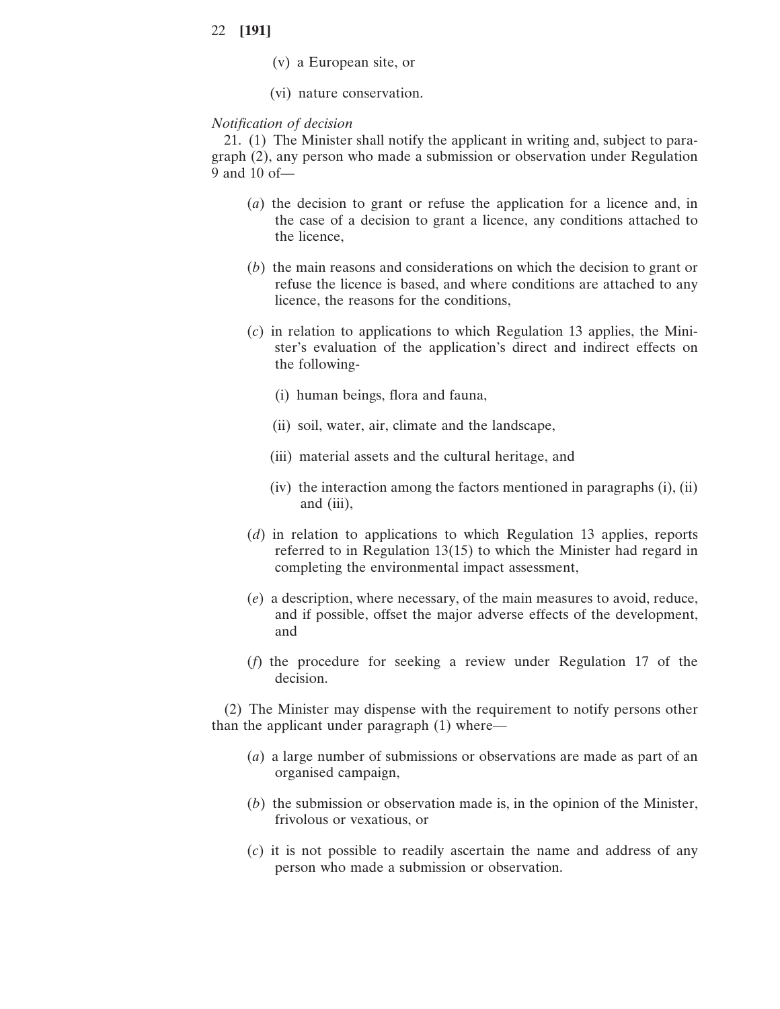- (v) a European site, or
- (vi) nature conservation.

### *Notification of decision*

21. (1) The Minister shall notify the applicant in writing and, subject to paragraph (2), any person who made a submission or observation under Regulation 9 and 10 of—

- (*a*) the decision to grant or refuse the application for a licence and, in the case of a decision to grant a licence, any conditions attached to the licence,
- (*b*) the main reasons and considerations on which the decision to grant or refuse the licence is based, and where conditions are attached to any licence, the reasons for the conditions,
- (*c*) in relation to applications to which Regulation 13 applies, the Minister's evaluation of the application's direct and indirect effects on the following-
	- (i) human beings, flora and fauna,
	- (ii) soil, water, air, climate and the landscape,
	- (iii) material assets and the cultural heritage, and
	- (iv) the interaction among the factors mentioned in paragraphs (i), (ii) and (iii),
- (*d*) in relation to applications to which Regulation 13 applies, reports referred to in Regulation 13(15) to which the Minister had regard in completing the environmental impact assessment,
- (*e*) a description, where necessary, of the main measures to avoid, reduce, and if possible, offset the major adverse effects of the development, and
- (*f*) the procedure for seeking a review under Regulation 17 of the decision.

(2) The Minister may dispense with the requirement to notify persons other than the applicant under paragraph (1) where—

- (*a*) a large number of submissions or observations are made as part of an organised campaign,
- (*b*) the submission or observation made is, in the opinion of the Minister, frivolous or vexatious, or
- (*c*) it is not possible to readily ascertain the name and address of any person who made a submission or observation.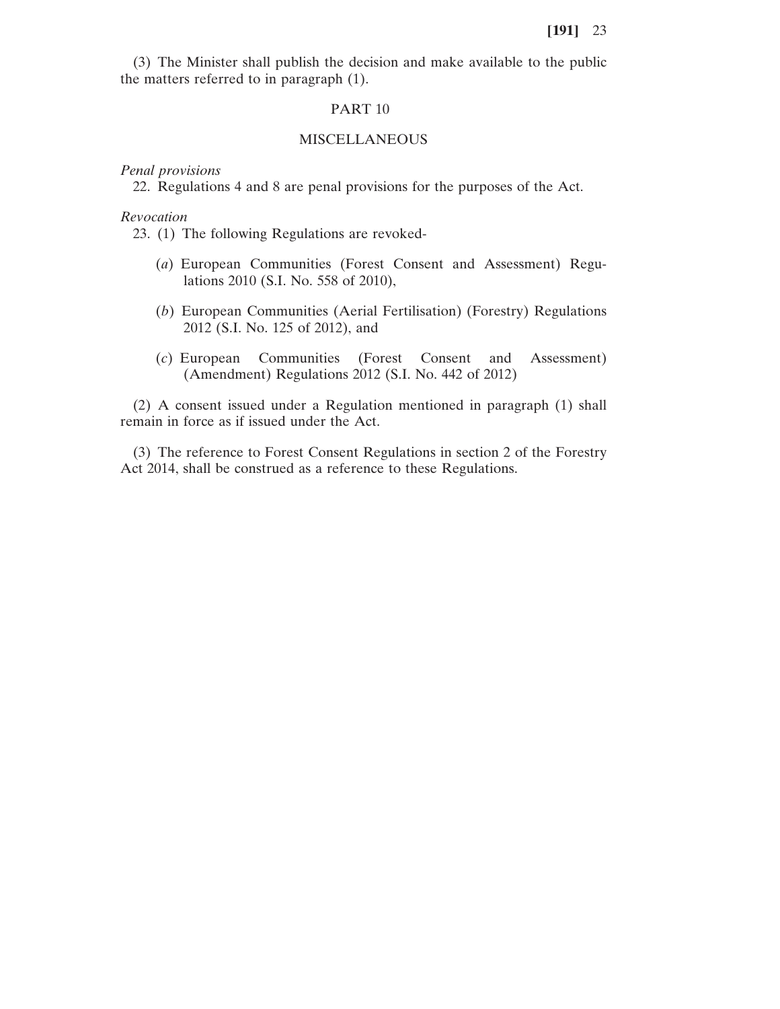(3) The Minister shall publish the decision and make available to the public the matters referred to in paragraph (1).

#### PART 10

## MISCELLANEOUS

*Penal provisions*

22. Regulations 4 and 8 are penal provisions for the purposes of the Act.

*Revocation*

23. (1) The following Regulations are revoked-

- (*a*) European Communities (Forest Consent and Assessment) Regulations 2010 (S.I. No. 558 of 2010),
- (*b*) European Communities (Aerial Fertilisation) (Forestry) Regulations 2012 (S.I. No. 125 of 2012), and
- (*c*) European Communities (Forest Consent and Assessment) (Amendment) Regulations 2012 (S.I. No. 442 of 2012)

(2) A consent issued under a Regulation mentioned in paragraph (1) shall remain in force as if issued under the Act.

(3) The reference to Forest Consent Regulations in section 2 of the Forestry Act 2014, shall be construed as a reference to these Regulations.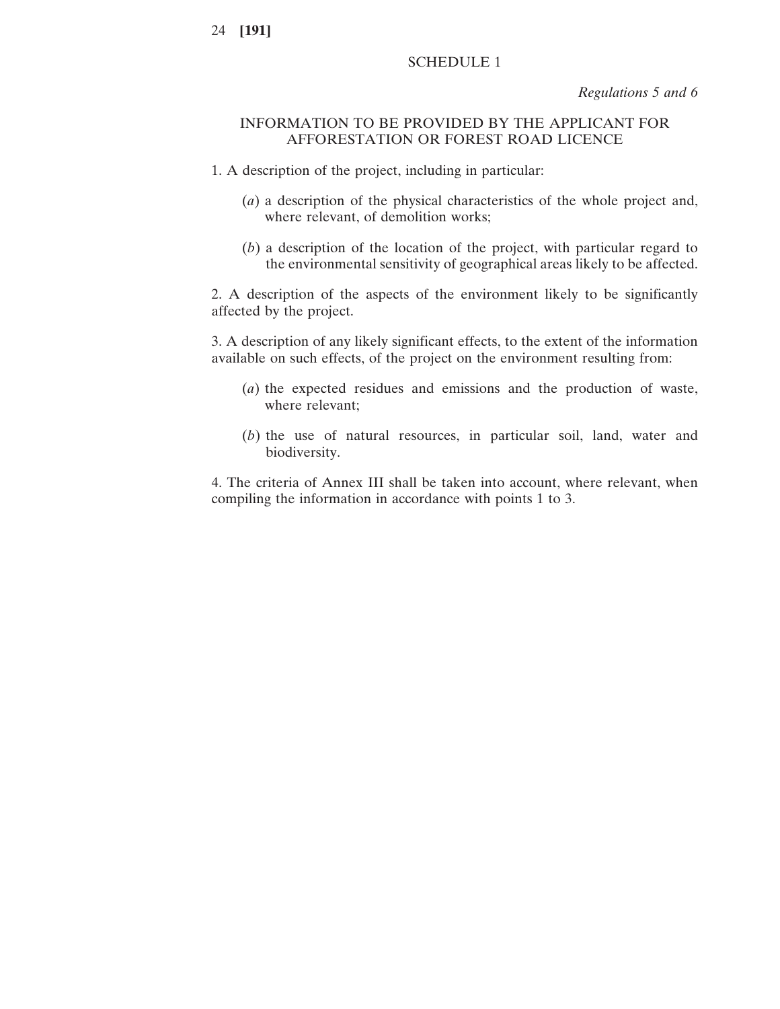## SCHEDULE 1

*Regulations 5 and 6*

## INFORMATION TO BE PROVIDED BY THE APPLICANT FOR AFFORESTATION OR FOREST ROAD LICENCE

- 1. A description of the project, including in particular:
	- (*a*) a description of the physical characteristics of the whole project and, where relevant, of demolition works;
	- (*b*) a description of the location of the project, with particular regard to the environmental sensitivity of geographical areas likely to be affected.

2. A description of the aspects of the environment likely to be significantly affected by the project.

3. A description of any likely significant effects, to the extent of the information available on such effects, of the project on the environment resulting from:

- (*a*) the expected residues and emissions and the production of waste, where relevant;
- (*b*) the use of natural resources, in particular soil, land, water and biodiversity.

4. The criteria of Annex III shall be taken into account, where relevant, when compiling the information in accordance with points 1 to 3.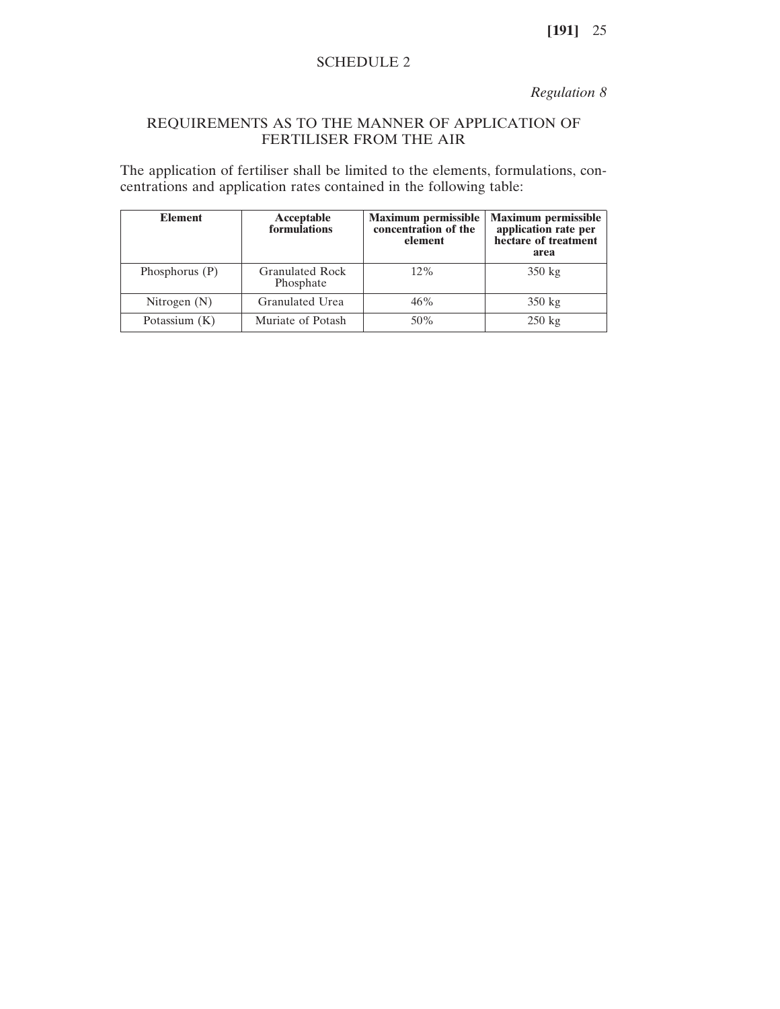## SCHEDULE 2

*Regulation 8*

# REQUIREMENTS AS TO THE MANNER OF APPLICATION OF FERTILISER FROM THE AIR

The application of fertiliser shall be limited to the elements, formulations, concentrations and application rates contained in the following table:

| <b>Element</b>   | Acceptable<br>formulations          | <b>Maximum permissible</b><br>concentration of the<br>element | <b>Maximum permissible</b><br>application rate per<br>hectare of treatment<br>area |
|------------------|-------------------------------------|---------------------------------------------------------------|------------------------------------------------------------------------------------|
| Phosphorus $(P)$ | <b>Granulated Rock</b><br>Phosphate | $12\%$                                                        | $350 \text{ kg}$                                                                   |
| Nitrogen $(N)$   | Granulated Urea                     | 46%                                                           | $350 \text{ kg}$                                                                   |
| Potassium $(K)$  | Muriate of Potash                   | 50%                                                           | $250 \text{ kg}$                                                                   |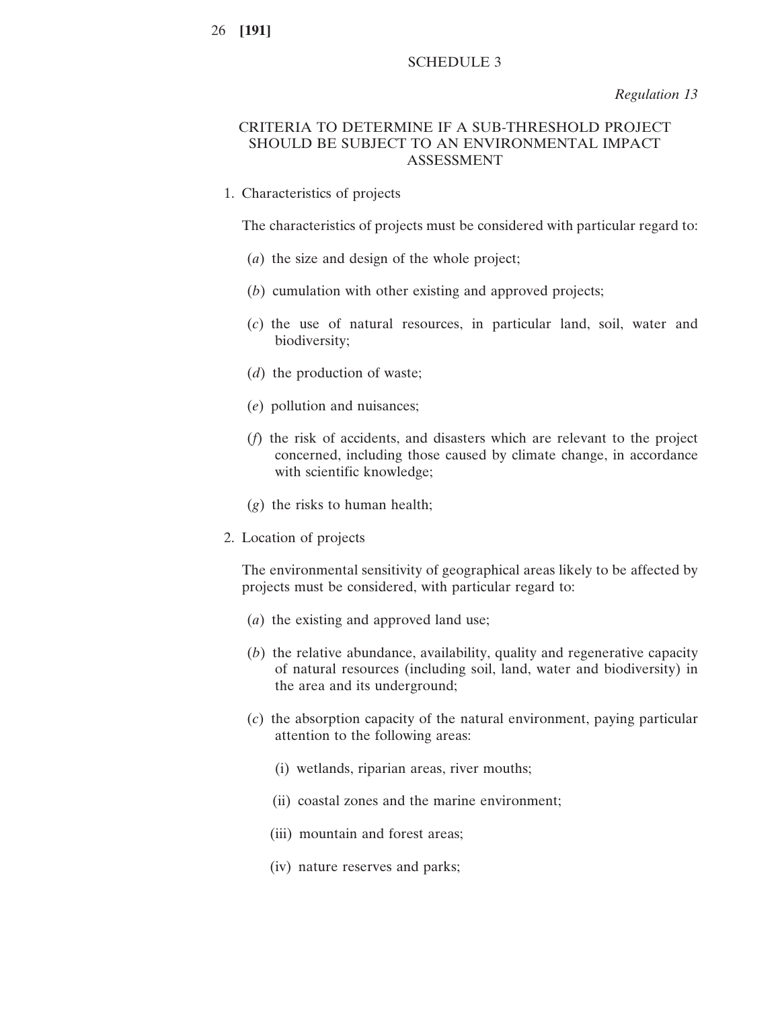## SCHEDULE 3

*Regulation 13*

# CRITERIA TO DETERMINE IF A SUB-THRESHOLD PROJECT SHOULD BE SUBJECT TO AN ENVIRONMENTAL IMPACT ASSESSMENT

1. Characteristics of projects

The characteristics of projects must be considered with particular regard to:

- (*a*) the size and design of the whole project;
- (*b*) cumulation with other existing and approved projects;
- (*c*) the use of natural resources, in particular land, soil, water and biodiversity;
- (*d*) the production of waste;
- (*e*) pollution and nuisances;
- (*f*) the risk of accidents, and disasters which are relevant to the project concerned, including those caused by climate change, in accordance with scientific knowledge;
- (*g*) the risks to human health;
- 2. Location of projects

The environmental sensitivity of geographical areas likely to be affected by projects must be considered, with particular regard to:

- (*a*) the existing and approved land use;
- (*b*) the relative abundance, availability, quality and regenerative capacity of natural resources (including soil, land, water and biodiversity) in the area and its underground;
- (*c*) the absorption capacity of the natural environment, paying particular attention to the following areas:
	- (i) wetlands, riparian areas, river mouths;
	- (ii) coastal zones and the marine environment;
	- (iii) mountain and forest areas;
	- (iv) nature reserves and parks;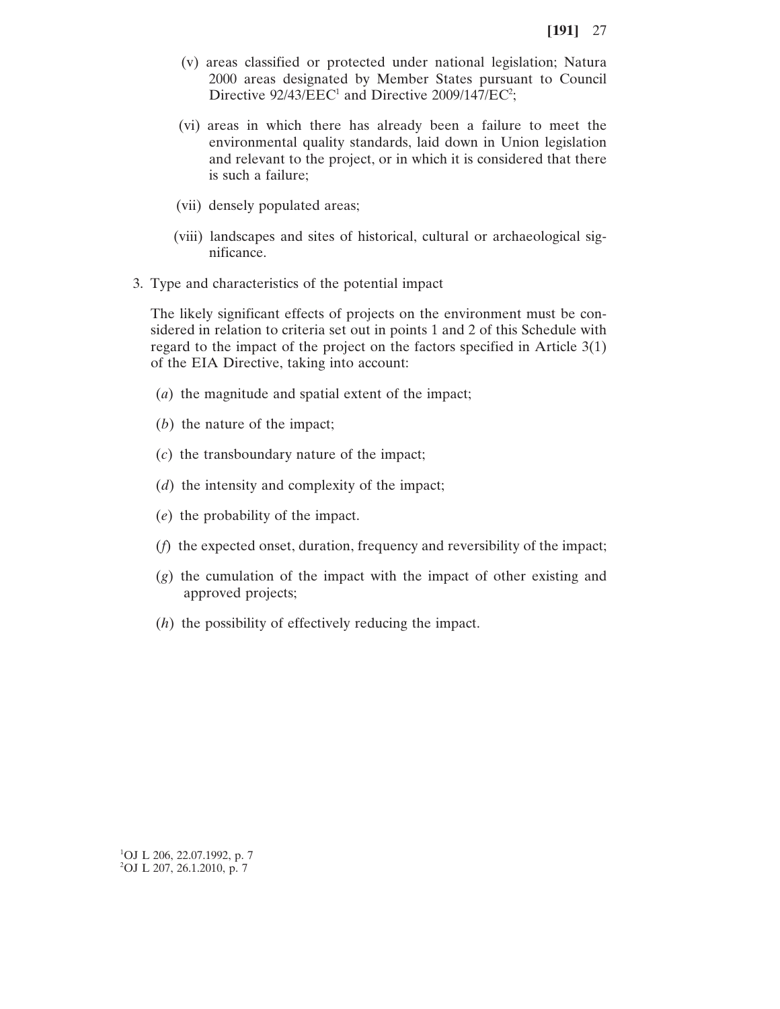- (v) areas classified or protected under national legislation; Natura 2000 areas designated by Member States pursuant to Council Directive  $92/43/EEC<sup>1</sup>$  and Directive 2009/147/EC<sup>2</sup>;
- (vi) areas in which there has already been a failure to meet the environmental quality standards, laid down in Union legislation and relevant to the project, or in which it is considered that there is such a failure;
- (vii) densely populated areas;
- (viii) landscapes and sites of historical, cultural or archaeological significance.
- 3. Type and characteristics of the potential impact

The likely significant effects of projects on the environment must be considered in relation to criteria set out in points 1 and 2 of this Schedule with regard to the impact of the project on the factors specified in Article 3(1) of the EIA Directive, taking into account:

- (*a*) the magnitude and spatial extent of the impact;
- (*b*) the nature of the impact;
- (*c*) the transboundary nature of the impact;
- (*d*) the intensity and complexity of the impact;
- (*e*) the probability of the impact.
- (*f*) the expected onset, duration, frequency and reversibility of the impact;
- (*g*) the cumulation of the impact with the impact of other existing and approved projects;
- (*h*) the possibility of effectively reducing the impact.

1 OJ L 206, 22.07.1992, p. 7 2 OJ L 207, 26.1.2010, p. 7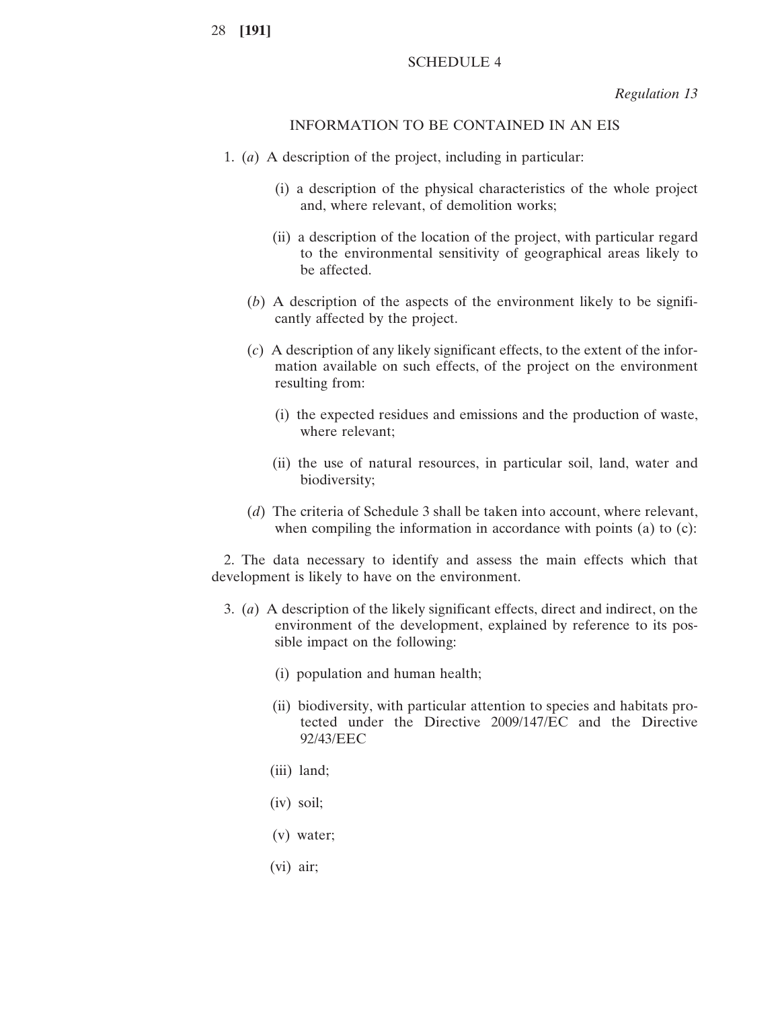## SCHEDULE 4

*Regulation 13*

## INFORMATION TO BE CONTAINED IN AN EIS

- 1. (*a*) A description of the project, including in particular:
	- (i) a description of the physical characteristics of the whole project and, where relevant, of demolition works;
	- (ii) a description of the location of the project, with particular regard to the environmental sensitivity of geographical areas likely to be affected.
	- (*b*) A description of the aspects of the environment likely to be significantly affected by the project.
	- (*c*) A description of any likely significant effects, to the extent of the information available on such effects, of the project on the environment resulting from:
		- (i) the expected residues and emissions and the production of waste, where relevant;
		- (ii) the use of natural resources, in particular soil, land, water and biodiversity;
	- (*d*) The criteria of Schedule 3 shall be taken into account, where relevant, when compiling the information in accordance with points (a) to (c):

2. The data necessary to identify and assess the main effects which that development is likely to have on the environment.

- 3. (*a*) A description of the likely significant effects, direct and indirect, on the environment of the development, explained by reference to its possible impact on the following:
	- (i) population and human health;
	- (ii) biodiversity, with particular attention to species and habitats protected under the Directive 2009/147/EC and the Directive 92/43/EEC
	- (iii) land;
	- (iv) soil;
	- (v) water;
	- (vi) air;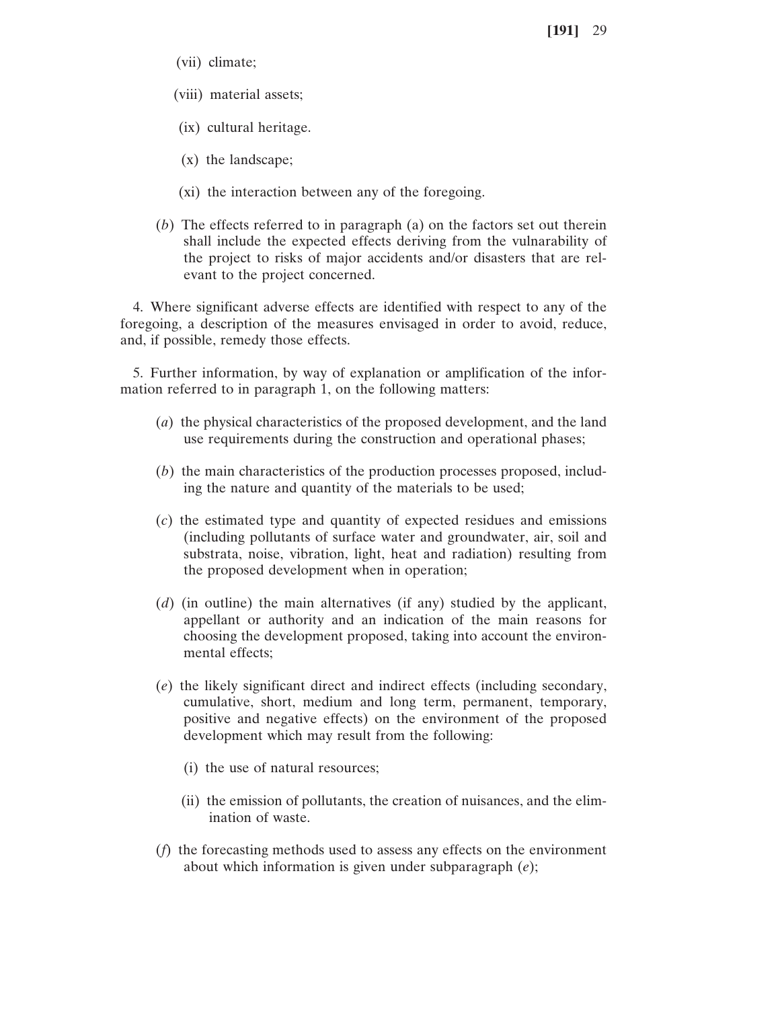- (vii) climate;
- (viii) material assets;
- (ix) cultural heritage.
- (x) the landscape;
- (xi) the interaction between any of the foregoing.
- (*b*) The effects referred to in paragraph (a) on the factors set out therein shall include the expected effects deriving from the vulnarability of the project to risks of major accidents and/or disasters that are relevant to the project concerned.

4. Where significant adverse effects are identified with respect to any of the foregoing, a description of the measures envisaged in order to avoid, reduce, and, if possible, remedy those effects.

5. Further information, by way of explanation or amplification of the information referred to in paragraph 1, on the following matters:

- (*a*) the physical characteristics of the proposed development, and the land use requirements during the construction and operational phases;
- (*b*) the main characteristics of the production processes proposed, including the nature and quantity of the materials to be used;
- (*c*) the estimated type and quantity of expected residues and emissions (including pollutants of surface water and groundwater, air, soil and substrata, noise, vibration, light, heat and radiation) resulting from the proposed development when in operation;
- (*d*) (in outline) the main alternatives (if any) studied by the applicant, appellant or authority and an indication of the main reasons for choosing the development proposed, taking into account the environmental effects;
- (*e*) the likely significant direct and indirect effects (including secondary, cumulative, short, medium and long term, permanent, temporary, positive and negative effects) on the environment of the proposed development which may result from the following:
	- (i) the use of natural resources;
	- (ii) the emission of pollutants, the creation of nuisances, and the elimination of waste.
- (*f*) the forecasting methods used to assess any effects on the environment about which information is given under subparagraph (*e*);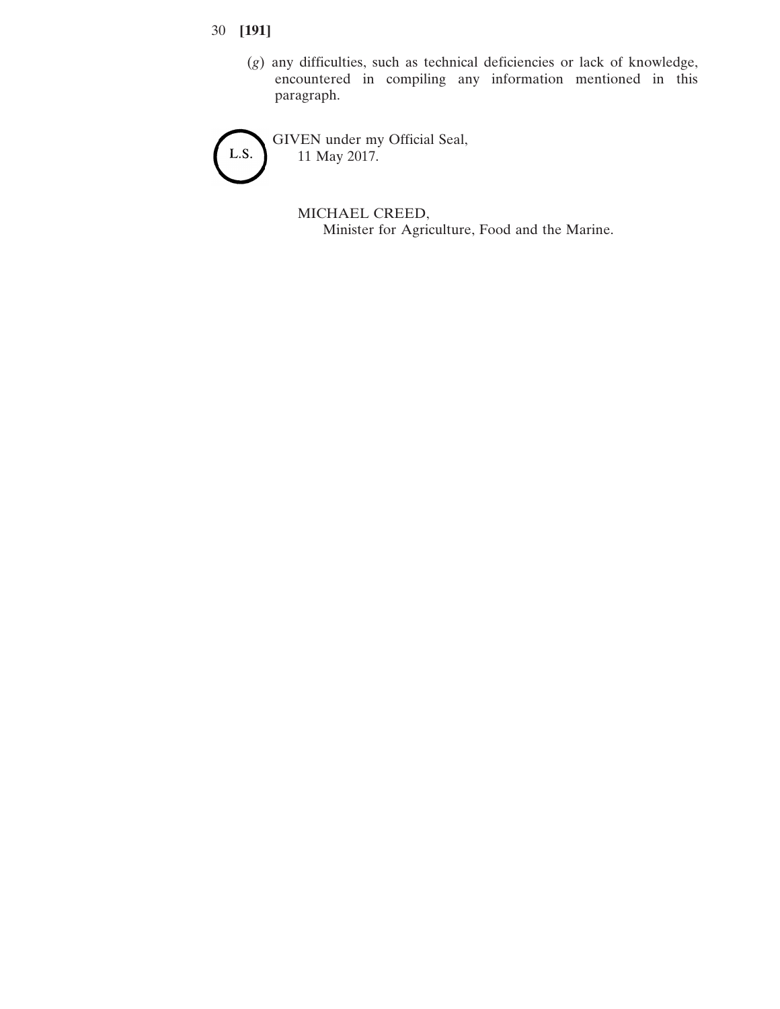- 30 **[191]**
	- (*g*) any difficulties, such as technical deficiencies or lack of knowledge, encountered in compiling any information mentioned in this paragraph.

GIVEN under my Official Seal, L.S. 11 May 2017.

> MICHAEL CREED, Minister for Agriculture, Food and the Marine.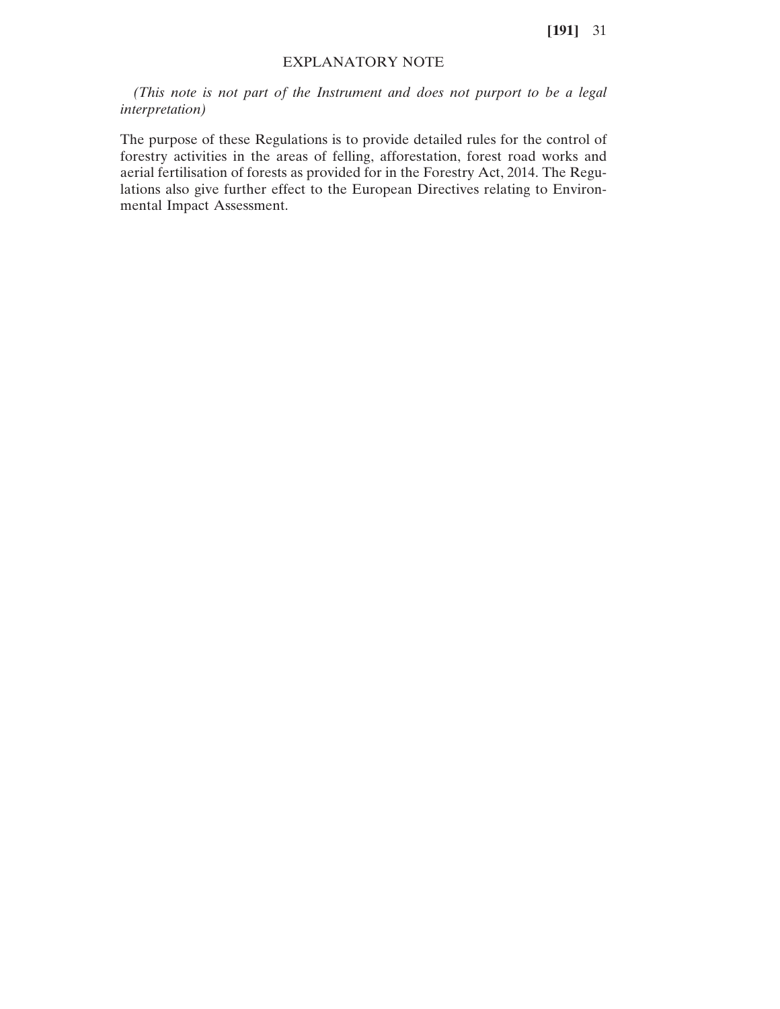## EXPLANATORY NOTE

*(This note is not part of the Instrument and does not purport to be a legal interpretation)*

The purpose of these Regulations is to provide detailed rules for the control of forestry activities in the areas of felling, afforestation, forest road works and aerial fertilisation of forests as provided for in the Forestry Act, 2014. The Regulations also give further effect to the European Directives relating to Environmental Impact Assessment.